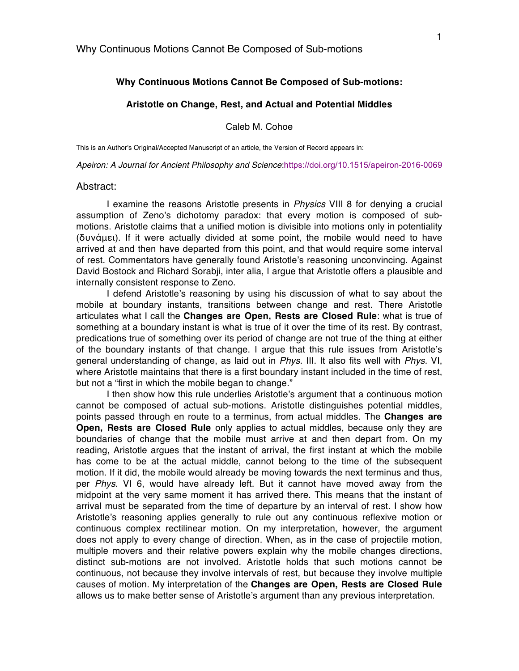## **Aristotle on Change, Rest, and Actual and Potential Middles**

Caleb M. Cohoe

This is an Author's Original/Accepted Manuscript of an article, the Version of Record appears in:

*Apeiron: A Journal for Ancient Philosophy and Science*:https://doi.org/10.1515/apeiron-2016-0069

# Abstract:

I examine the reasons Aristotle presents in *Physics* VIII 8 for denying a crucial assumption of Zeno's dichotomy paradox: that every motion is composed of submotions. Aristotle claims that a unified motion is divisible into motions only in potentiality (δυνάμει). If it were actually divided at some point, the mobile would need to have arrived at and then have departed from this point, and that would require some interval of rest. Commentators have generally found Aristotle's reasoning unconvincing. Against David Bostock and Richard Sorabji, inter alia, I argue that Aristotle offers a plausible and internally consistent response to Zeno.

I defend Aristotle's reasoning by using his discussion of what to say about the mobile at boundary instants, transitions between change and rest. There Aristotle articulates what I call the **Changes are Open, Rests are Closed Rule**: what is true of something at a boundary instant is what is true of it over the time of its rest. By contrast, predications true of something over its period of change are not true of the thing at either of the boundary instants of that change. I argue that this rule issues from Aristotle's general understanding of change, as laid out in *Phys.* III. It also fits well with *Phys.* VI, where Aristotle maintains that there is a first boundary instant included in the time of rest, but not a "first in which the mobile began to change."

I then show how this rule underlies Aristotle's argument that a continuous motion cannot be composed of actual sub-motions. Aristotle distinguishes potential middles, points passed through en route to a terminus, from actual middles. The **Changes are Open, Rests are Closed Rule** only applies to actual middles, because only they are boundaries of change that the mobile must arrive at and then depart from. On my reading, Aristotle argues that the instant of arrival, the first instant at which the mobile has come to be at the actual middle, cannot belong to the time of the subsequent motion. If it did, the mobile would already be moving towards the next terminus and thus, per *Phys.* VI 6, would have already left. But it cannot have moved away from the midpoint at the very same moment it has arrived there. This means that the instant of arrival must be separated from the time of departure by an interval of rest. I show how Aristotle's reasoning applies generally to rule out any continuous reflexive motion or continuous complex rectilinear motion. On my interpretation, however, the argument does not apply to every change of direction. When, as in the case of projectile motion, multiple movers and their relative powers explain why the mobile changes directions, distinct sub-motions are not involved. Aristotle holds that such motions cannot be continuous, not because they involve intervals of rest, but because they involve multiple causes of motion. My interpretation of the **Changes are Open, Rests are Closed Rule** allows us to make better sense of Aristotle's argument than any previous interpretation.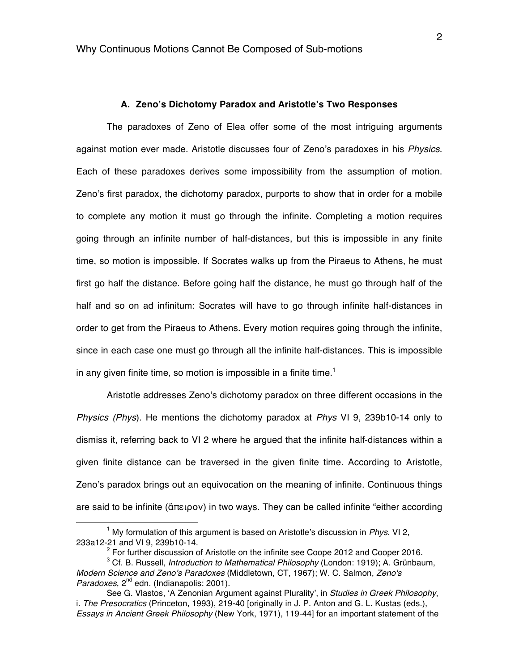## **A. Zeno's Dichotomy Paradox and Aristotle's Two Responses**

The paradoxes of Zeno of Elea offer some of the most intriguing arguments against motion ever made. Aristotle discusses four of Zeno's paradoxes in his *Physics*. Each of these paradoxes derives some impossibility from the assumption of motion. Zeno's first paradox, the dichotomy paradox, purports to show that in order for a mobile to complete any motion it must go through the infinite. Completing a motion requires going through an infinite number of half-distances, but this is impossible in any finite time, so motion is impossible. If Socrates walks up from the Piraeus to Athens, he must first go half the distance. Before going half the distance, he must go through half of the half and so on ad infinitum: Socrates will have to go through infinite half-distances in order to get from the Piraeus to Athens. Every motion requires going through the infinite, since in each case one must go through all the infinite half-distances. This is impossible in any given finite time, so motion is impossible in a finite time.<sup>1</sup>

Aristotle addresses Zeno's dichotomy paradox on three different occasions in the *Physics (Phys*)*.* He mentions the dichotomy paradox at *Phys* VI 9, 239b10-14 only to dismiss it, referring back to VI 2 where he argued that the infinite half-distances within a given finite distance can be traversed in the given finite time. According to Aristotle, Zeno's paradox brings out an equivocation on the meaning of infinite. Continuous things are said to be infinite (ἄπειρον) in two ways. They can be called infinite "either according

<sup>1</sup> My formulation of this argument is based on Aristotle's discussion in *Phys.* VI 2,

 $2$  For further discussion of Aristotle on the infinite see Coope 2012 and Cooper 2016.

<sup>3</sup> Cf. B. Russell, *Introduction to Mathematical Philosophy* (London: 1919); A. Grünbaum, *Modern Science and Zeno's Paradoxes* (Middletown, CT, 1967); W. C. Salmon, *Zeno's Paradoxes*, 2<sup>nd</sup> edn. (Indianapolis: 2001).

See G. Vlastos, 'A Zenonian Argument against Plurality', in *Studies in Greek Philosophy*, i. *The Presocratics* (Princeton, 1993), 219-40 [originally in J. P. Anton and G. L. Kustas (eds.), *Essays in Ancient Greek Philosophy* (New York, 1971), 119-44] for an important statement of the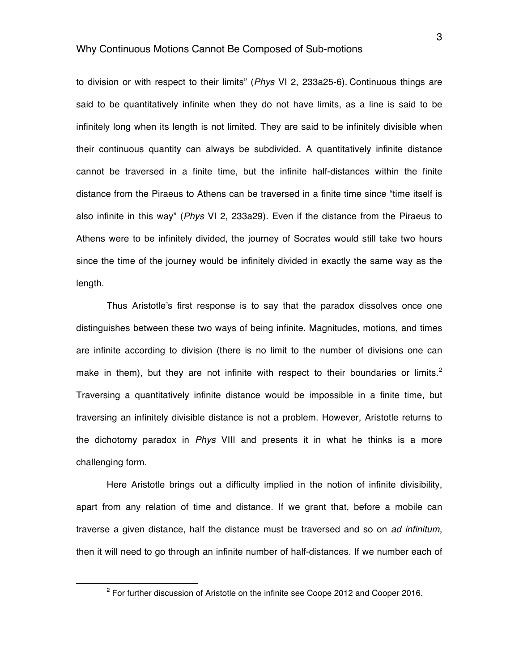to division or with respect to their limits" (*Phys* VI 2, 233a25-6). Continuous things are said to be quantitatively infinite when they do not have limits, as a line is said to be infinitely long when its length is not limited. They are said to be infinitely divisible when their continuous quantity can always be subdivided. A quantitatively infinite distance cannot be traversed in a finite time, but the infinite half-distances within the finite distance from the Piraeus to Athens can be traversed in a finite time since "time itself is also infinite in this way" (*Phys* VI 2, 233a29). Even if the distance from the Piraeus to Athens were to be infinitely divided, the journey of Socrates would still take two hours since the time of the journey would be infinitely divided in exactly the same way as the length.

Thus Aristotle's first response is to say that the paradox dissolves once one distinguishes between these two ways of being infinite. Magnitudes, motions, and times are infinite according to division (there is no limit to the number of divisions one can make in them), but they are not infinite with respect to their boundaries or limits.<sup>2</sup> Traversing a quantitatively infinite distance would be impossible in a finite time, but traversing an infinitely divisible distance is not a problem. However, Aristotle returns to the dichotomy paradox in *Phys* VIII and presents it in what he thinks is a more challenging form.

Here Aristotle brings out a difficulty implied in the notion of infinite divisibility, apart from any relation of time and distance. If we grant that, before a mobile can traverse a given distance, half the distance must be traversed and so on *ad infinitum*, then it will need to go through an infinite number of half-distances. If we number each of

 $2$  For further discussion of Aristotle on the infinite see Coope 2012 and Cooper 2016.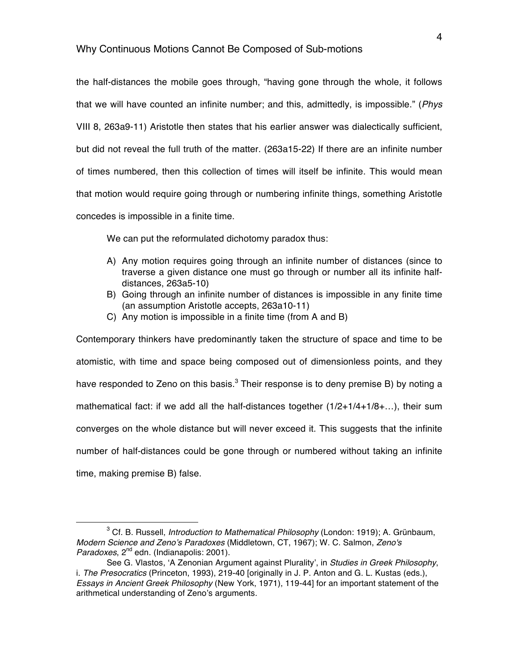the half-distances the mobile goes through, "having gone through the whole, it follows that we will have counted an infinite number; and this, admittedly, is impossible." (*Phys* VIII 8, 263a9-11) Aristotle then states that his earlier answer was dialectically sufficient, but did not reveal the full truth of the matter. (263a15-22) If there are an infinite number of times numbered, then this collection of times will itself be infinite. This would mean that motion would require going through or numbering infinite things, something Aristotle concedes is impossible in a finite time.

We can put the reformulated dichotomy paradox thus:

- A) Any motion requires going through an infinite number of distances (since to traverse a given distance one must go through or number all its infinite halfdistances, 263a5-10)
- B) Going through an infinite number of distances is impossible in any finite time (an assumption Aristotle accepts, 263a10-11)
- C) Any motion is impossible in a finite time (from A and B)

Contemporary thinkers have predominantly taken the structure of space and time to be atomistic, with time and space being composed out of dimensionless points, and they have responded to Zeno on this basis.<sup>3</sup> Their response is to deny premise B) by noting a mathematical fact: if we add all the half-distances together  $(1/2+1/4+1/8+\ldots)$ , their sum converges on the whole distance but will never exceed it. This suggests that the infinite number of half-distances could be gone through or numbered without taking an infinite time, making premise B) false.

<sup>3</sup> Cf. B. Russell, *Introduction to Mathematical Philosophy* (London: 1919); A. Grünbaum, *Modern Science and Zeno's Paradoxes* (Middletown, CT, 1967); W. C. Salmon, *Zeno's Paradoxes*, 2nd edn. (Indianapolis: 2001).

See G. Vlastos, 'A Zenonian Argument against Plurality', in *Studies in Greek Philosophy*, i. *The Presocratics* (Princeton, 1993), 219-40 [originally in J. P. Anton and G. L. Kustas (eds.), *Essays in Ancient Greek Philosophy* (New York, 1971), 119-44] for an important statement of the arithmetical understanding of Zeno's arguments.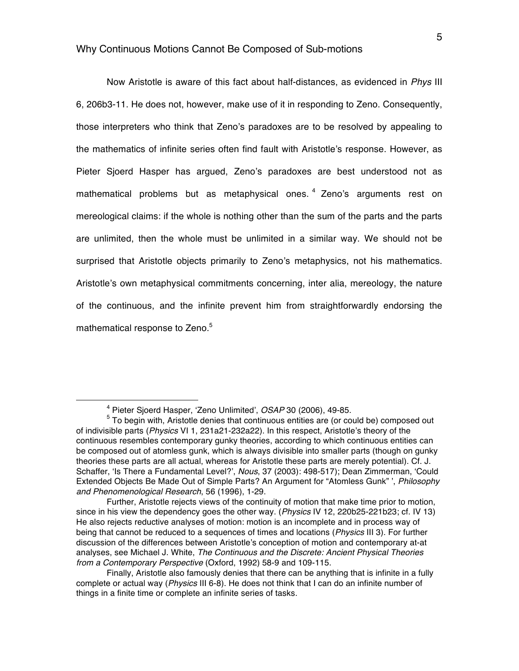Now Aristotle is aware of this fact about half-distances, as evidenced in *Phys* III 6, 206b3-11. He does not, however, make use of it in responding to Zeno. Consequently, those interpreters who think that Zeno's paradoxes are to be resolved by appealing to the mathematics of infinite series often find fault with Aristotle's response. However, as Pieter Sjoerd Hasper has argued, Zeno's paradoxes are best understood not as mathematical problems but as metaphysical ones.<sup>4</sup> Zeno's arguments rest on mereological claims: if the whole is nothing other than the sum of the parts and the parts are unlimited, then the whole must be unlimited in a similar way. We should not be surprised that Aristotle objects primarily to Zeno's metaphysics, not his mathematics. Aristotle's own metaphysical commitments concerning, inter alia, mereology, the nature of the continuous, and the infinite prevent him from straightforwardly endorsing the mathematical response to Zeno.<sup>5</sup>

 $\overline{a}$ 

<sup>4</sup> Pieter Sjoerd Hasper, 'Zeno Unlimited', *OSAP* 30 (2006), 49-85.

<sup>5</sup> To begin with, Aristotle denies that continuous entities are (or could be) composed out of indivisible parts (*Physics* VI 1, 231a21-232a22). In this respect, Aristotle's theory of the continuous resembles contemporary gunky theories, according to which continuous entities can be composed out of atomless gunk, which is always divisible into smaller parts (though on gunky theories these parts are all actual, whereas for Aristotle these parts are merely potential). Cf. J. Schaffer, 'Is There a Fundamental Level?', *Nous*, 37 (2003): 498-517); Dean Zimmerman, 'Could Extended Objects Be Made Out of Simple Parts? An Argument for "Atomless Gunk" ', *Philosophy and Phenomenological Research*, 56 (1996), 1-29.

Further, Aristotle rejects views of the continuity of motion that make time prior to motion, since in his view the dependency goes the other way. (*Physics* IV 12, 220b25-221b23; cf. IV 13) He also rejects reductive analyses of motion: motion is an incomplete and in process way of being that cannot be reduced to a sequences of times and locations (*Physics* III 3). For further discussion of the differences between Aristotle's conception of motion and contemporary at-at analyses, see Michael J. White, *The Continuous and the Discrete: Ancient Physical Theories from a Contemporary Perspective* (Oxford, 1992) 58-9 and 109-115.

Finally, Aristotle also famously denies that there can be anything that is infinite in a fully complete or actual way (*Physics* III 6-8). He does not think that I can do an infinite number of things in a finite time or complete an infinite series of tasks.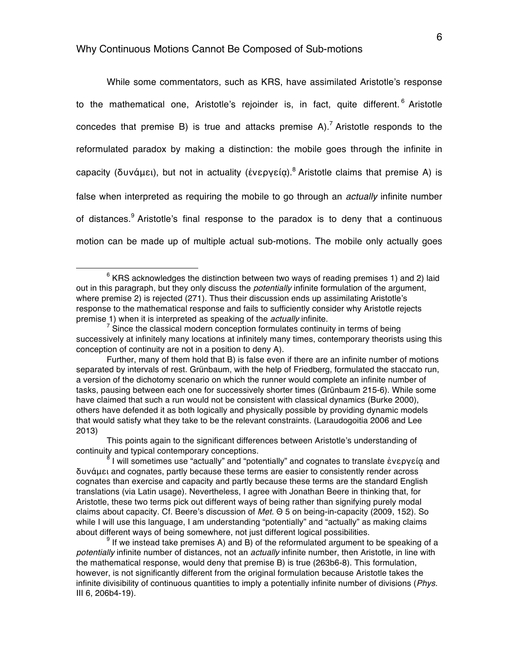$\overline{a}$ 

While some commentators, such as KRS, have assimilated Aristotle's response to the mathematical one, Aristotle's rejoinder is, in fact, quite different.<sup>6</sup> Aristotle concedes that premise B) is true and attacks premise A).<sup>7</sup> Aristotle responds to the reformulated paradox by making a distinction: the mobile goes through the infinite in capacity (δυνάμει), but not in actuality (ἐνεργεία).<sup>8</sup> Aristotle claims that premise A) is false when interpreted as requiring the mobile to go through an *actually* infinite number of distances.<sup>9</sup> Aristotle's final response to the paradox is to deny that a continuous motion can be made up of multiple actual sub-motions. The mobile only actually goes

 $6$  KRS acknowledges the distinction between two ways of reading premises 1) and 2) laid out in this paragraph, but they only discuss the *potentially* infinite formulation of the argument, where premise 2) is rejected (271). Thus their discussion ends up assimilating Aristotle's response to the mathematical response and fails to sufficiently consider why Aristotle rejects premise 1) when it is interpreted as speaking of the *actually* infinite.<br><sup>7</sup> Since the classical modern conception formulates continuity in terms of being

successively at infinitely many locations at infinitely many times, contemporary theorists using this conception of continuity are not in a position to deny A).

Further, many of them hold that B) is false even if there are an infinite number of motions separated by intervals of rest. Grünbaum, with the help of Friedberg, formulated the staccato run, a version of the dichotomy scenario on which the runner would complete an infinite number of tasks, pausing between each one for successively shorter times (Grünbaum 215-6). While some have claimed that such a run would not be consistent with classical dynamics (Burke 2000), others have defended it as both logically and physically possible by providing dynamic models that would satisfy what they take to be the relevant constraints. (Laraudogoitia 2006 and Lee 2013)

This points again to the significant differences between Aristotle's understanding of continuity and typical contemporary conceptions.

<sup>&</sup>lt;sup>8</sup> I will sometimes use "actually" and "potentially" and cognates to translate ἐνεργεία and δυνάμει and cognates, partly because these terms are easier to consistently render across cognates than exercise and capacity and partly because these terms are the standard English translations (via Latin usage). Nevertheless, I agree with Jonathan Beere in thinking that, for Aristotle, these two terms pick out different ways of being rather than signifying purely modal claims about capacity. Cf. Beere's discussion of *Met.* Θ 5 on being-in-capacity (2009, 152). So while I will use this language, I am understanding "potentially" and "actually" as making claims about different ways of being somewhere, not just different logical possibilities.<br><sup>9</sup> If we instead take premises A) and B) of the reformulated argument to be speaking of a

*potentially* infinite number of distances, not an *actually* infinite number, then Aristotle, in line with the mathematical response, would deny that premise B) is true (263b6-8). This formulation, however, is not significantly different from the original formulation because Aristotle takes the infinite divisibility of continuous quantities to imply a potentially infinite number of divisions (*Phys.* III 6, 206b4-19).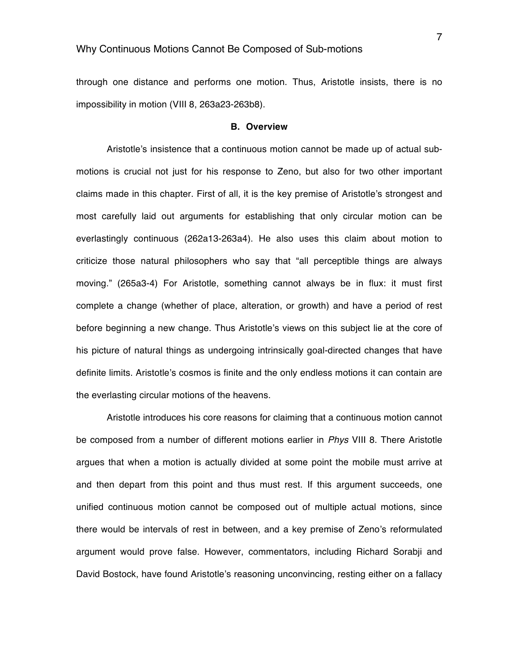through one distance and performs one motion. Thus, Aristotle insists, there is no impossibility in motion (VIII 8, 263a23-263b8).

## **B. Overview**

Aristotle's insistence that a continuous motion cannot be made up of actual submotions is crucial not just for his response to Zeno, but also for two other important claims made in this chapter. First of all, it is the key premise of Aristotle's strongest and most carefully laid out arguments for establishing that only circular motion can be everlastingly continuous (262a13-263a4). He also uses this claim about motion to criticize those natural philosophers who say that "all perceptible things are always moving." (265a3-4) For Aristotle, something cannot always be in flux: it must first complete a change (whether of place, alteration, or growth) and have a period of rest before beginning a new change. Thus Aristotle's views on this subject lie at the core of his picture of natural things as undergoing intrinsically goal-directed changes that have definite limits. Aristotle's cosmos is finite and the only endless motions it can contain are the everlasting circular motions of the heavens.

Aristotle introduces his core reasons for claiming that a continuous motion cannot be composed from a number of different motions earlier in *Phys* VIII 8. There Aristotle argues that when a motion is actually divided at some point the mobile must arrive at and then depart from this point and thus must rest. If this argument succeeds, one unified continuous motion cannot be composed out of multiple actual motions, since there would be intervals of rest in between, and a key premise of Zeno's reformulated argument would prove false. However, commentators, including Richard Sorabji and David Bostock, have found Aristotle's reasoning unconvincing, resting either on a fallacy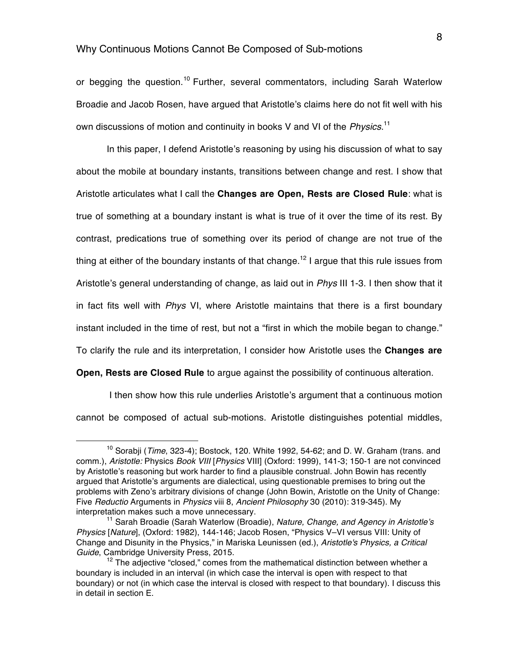or begging the question.<sup>10</sup> Further, several commentators, including Sarah Waterlow Broadie and Jacob Rosen, have argued that Aristotle's claims here do not fit well with his own discussions of motion and continuity in books V and VI of the *Physics*. 11

In this paper, I defend Aristotle's reasoning by using his discussion of what to say about the mobile at boundary instants, transitions between change and rest. I show that Aristotle articulates what I call the **Changes are Open, Rests are Closed Rule**: what is true of something at a boundary instant is what is true of it over the time of its rest. By contrast, predications true of something over its period of change are not true of the thing at either of the boundary instants of that change.<sup>12</sup> I argue that this rule issues from Aristotle's general understanding of change, as laid out in *Phys* III 1-3. I then show that it in fact fits well with *Phys* VI, where Aristotle maintains that there is a first boundary instant included in the time of rest, but not a "first in which the mobile began to change." To clarify the rule and its interpretation, I consider how Aristotle uses the **Changes are**

**Open, Rests are Closed Rule** to argue against the possibility of continuous alteration.

I then show how this rule underlies Aristotle's argument that a continuous motion cannot be composed of actual sub-motions. Aristotle distinguishes potential middles,

<sup>10</sup> Sorabji (*Time*, 323-4); Bostock, 120. White 1992, 54-62; and D. W. Graham (trans. and comm.), *Aristotle:* Physics *Book VIII* [*Physics* VIII] (Oxford: 1999), 141-3; 150-1 are not convinced by Aristotle's reasoning but work harder to find a plausible construal. John Bowin has recently argued that Aristotle's arguments are dialectical, using questionable premises to bring out the problems with Zeno's arbitrary divisions of change (John Bowin, Aristotle on the Unity of Change: Five *Reductio* Arguments in *Physics* viii 8, *Ancient Philosophy* 30 (2010): 319-345). My interpretation makes such a move unnecessary.

<sup>11</sup> Sarah Broadie (Sarah Waterlow (Broadie), *Nature, Change, and Agency in Aristotle's Physics* [*Nature*], (Oxford: 1982), 144-146; Jacob Rosen, "Physics V–VI versus VIII: Unity of Change and Disunity in the Physics," in Mariska Leunissen (ed.), *Aristotle's Physics, a Critical Guide*, Cambridge University Press, 2015.

 $12$  The adjective "closed," comes from the mathematical distinction between whether a boundary is included in an interval (in which case the interval is open with respect to that boundary) or not (in which case the interval is closed with respect to that boundary). I discuss this in detail in section E.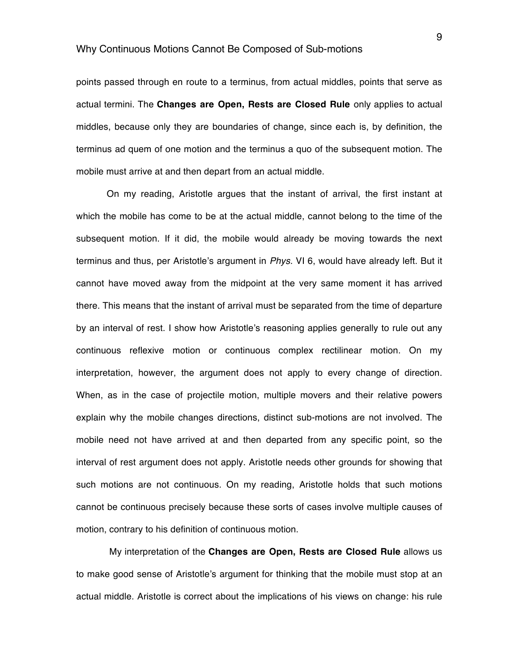points passed through en route to a terminus, from actual middles, points that serve as actual termini. The **Changes are Open, Rests are Closed Rule** only applies to actual middles, because only they are boundaries of change, since each is, by definition, the terminus ad quem of one motion and the terminus a quo of the subsequent motion. The mobile must arrive at and then depart from an actual middle.

On my reading, Aristotle argues that the instant of arrival, the first instant at which the mobile has come to be at the actual middle, cannot belong to the time of the subsequent motion. If it did, the mobile would already be moving towards the next terminus and thus, per Aristotle's argument in *Phys.* VI 6, would have already left. But it cannot have moved away from the midpoint at the very same moment it has arrived there. This means that the instant of arrival must be separated from the time of departure by an interval of rest. I show how Aristotle's reasoning applies generally to rule out any continuous reflexive motion or continuous complex rectilinear motion. On my interpretation, however, the argument does not apply to every change of direction. When, as in the case of projectile motion, multiple movers and their relative powers explain why the mobile changes directions, distinct sub-motions are not involved. The mobile need not have arrived at and then departed from any specific point, so the interval of rest argument does not apply. Aristotle needs other grounds for showing that such motions are not continuous. On my reading, Aristotle holds that such motions cannot be continuous precisely because these sorts of cases involve multiple causes of motion, contrary to his definition of continuous motion.

My interpretation of the **Changes are Open, Rests are Closed Rule** allows us to make good sense of Aristotle's argument for thinking that the mobile must stop at an actual middle. Aristotle is correct about the implications of his views on change: his rule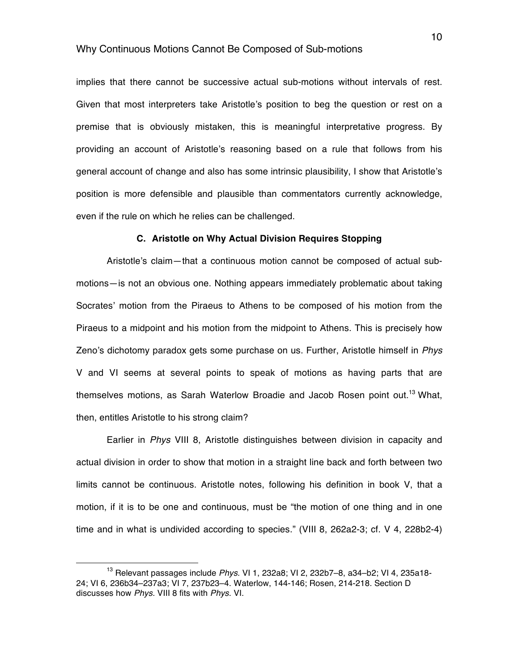implies that there cannot be successive actual sub-motions without intervals of rest. Given that most interpreters take Aristotle's position to beg the question or rest on a premise that is obviously mistaken, this is meaningful interpretative progress. By providing an account of Aristotle's reasoning based on a rule that follows from his general account of change and also has some intrinsic plausibility, I show that Aristotle's position is more defensible and plausible than commentators currently acknowledge, even if the rule on which he relies can be challenged.

## **C. Aristotle on Why Actual Division Requires Stopping**

Aristotle's claim—that a continuous motion cannot be composed of actual submotions—is not an obvious one. Nothing appears immediately problematic about taking Socrates' motion from the Piraeus to Athens to be composed of his motion from the Piraeus to a midpoint and his motion from the midpoint to Athens. This is precisely how Zeno's dichotomy paradox gets some purchase on us. Further, Aristotle himself in *Phys* V and VI seems at several points to speak of motions as having parts that are themselves motions, as Sarah Waterlow Broadie and Jacob Rosen point out.<sup>13</sup> What, then, entitles Aristotle to his strong claim?

Earlier in *Phys* VIII 8, Aristotle distinguishes between division in capacity and actual division in order to show that motion in a straight line back and forth between two limits cannot be continuous. Aristotle notes, following his definition in book V, that a motion, if it is to be one and continuous, must be "the motion of one thing and in one time and in what is undivided according to species." (VIII 8, 262a2-3; cf. V 4, 228b2-4)

<sup>13</sup> Relevant passages include *Phys.* VI 1, 232a8; VI 2, 232b7–8, a34–b2; VI 4, 235a18- 24; VI 6, 236b34–237a3; VI 7, 237b23–4. Waterlow, 144-146; Rosen, 214-218. Section D discusses how *Phys.* VIII 8 fits with *Phys.* VI.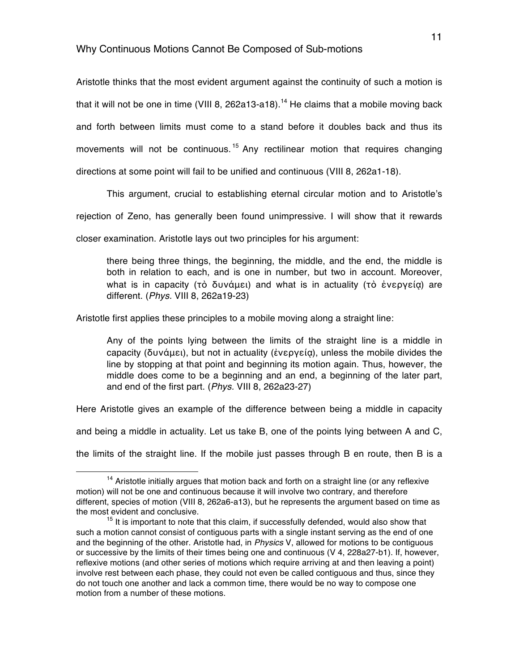Aristotle thinks that the most evident argument against the continuity of such a motion is that it will not be one in time (VIII 8, 262a13-a18).<sup>14</sup> He claims that a mobile moving back and forth between limits must come to a stand before it doubles back and thus its movements will not be continuous.<sup>15</sup> Any rectilinear motion that requires changing directions at some point will fail to be unified and continuous (VIII 8, 262a1-18).

This argument, crucial to establishing eternal circular motion and to Aristotle's

rejection of Zeno, has generally been found unimpressive. I will show that it rewards

closer examination. Aristotle lays out two principles for his argument:

there being three things, the beginning, the middle, and the end, the middle is both in relation to each, and is one in number, but two in account. Moreover, what is in capacity (τὸ δυνάμει) and what is in actuality (τὸ ἐνεργεία) are different. (*Phys.* VIII 8, 262a19-23)

Aristotle first applies these principles to a mobile moving along a straight line:

Any of the points lying between the limits of the straight line is a middle in capacity (δυνάμει), but not in actuality (ἐνεργείᾳ), unless the mobile divides the line by stopping at that point and beginning its motion again. Thus, however, the middle does come to be a beginning and an end, a beginning of the later part, and end of the first part. (*Phys.* VIII 8, 262a23-27)

Here Aristotle gives an example of the difference between being a middle in capacity

and being a middle in actuality. Let us take B, one of the points lying between A and C,

the limits of the straight line. If the mobile just passes through B en route, then B is a

 $14$  Aristotle initially argues that motion back and forth on a straight line (or any reflexive motion) will not be one and continuous because it will involve two contrary, and therefore different, species of motion (VIII 8, 262a6-a13), but he represents the argument based on time as the most evident and conclusive.

 $15$  It is important to note that this claim, if successfully defended, would also show that such a motion cannot consist of contiguous parts with a single instant serving as the end of one and the beginning of the other. Aristotle had, in *Physics* V, allowed for motions to be contiguous or successive by the limits of their times being one and continuous (V 4, 228a27-b1). If, however, reflexive motions (and other series of motions which require arriving at and then leaving a point) involve rest between each phase, they could not even be called contiguous and thus, since they do not touch one another and lack a common time, there would be no way to compose one motion from a number of these motions.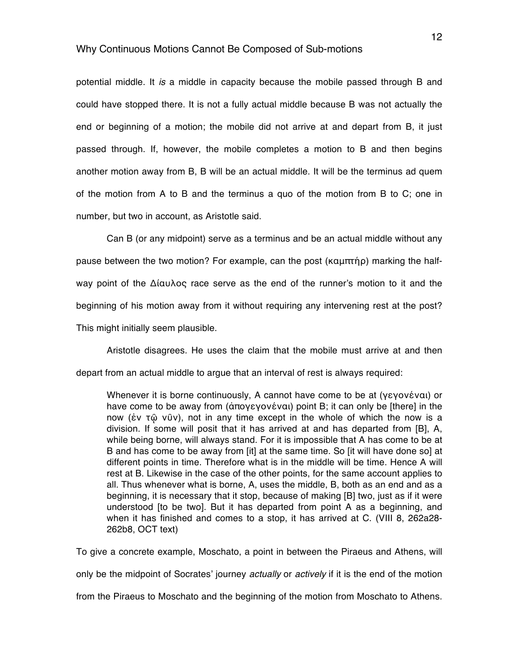potential middle. It *is* a middle in capacity because the mobile passed through B and could have stopped there. It is not a fully actual middle because B was not actually the end or beginning of a motion; the mobile did not arrive at and depart from B, it just passed through. If, however, the mobile completes a motion to B and then begins another motion away from B, B will be an actual middle. It will be the terminus ad quem of the motion from A to B and the terminus a quo of the motion from B to C; one in number, but two in account, as Aristotle said.

Can B (or any midpoint) serve as a terminus and be an actual middle without any pause between the two motion? For example, can the post (καμπτήρ) marking the halfway point of the Δίαυλος race serve as the end of the runner's motion to it and the beginning of his motion away from it without requiring any intervening rest at the post? This might initially seem plausible.

Aristotle disagrees. He uses the claim that the mobile must arrive at and then depart from an actual middle to argue that an interval of rest is always required:

Whenever it is borne continuously, A cannot have come to be at (γεγονέναι) or have come to be away from (ἀπογεγονέναι) point B; it can only be [there] in the now (ἐν τῷ νῦν), not in any time except in the whole of which the now is a division. If some will posit that it has arrived at and has departed from [B], A, while being borne, will always stand. For it is impossible that A has come to be at B and has come to be away from [it] at the same time. So [it will have done so] at different points in time. Therefore what is in the middle will be time. Hence A will rest at B. Likewise in the case of the other points, for the same account applies to all. Thus whenever what is borne, A, uses the middle, B, both as an end and as a beginning, it is necessary that it stop, because of making [B] two, just as if it were understood [to be two]. But it has departed from point A as a beginning, and when it has finished and comes to a stop, it has arrived at C. (VIII 8, 262a28- 262b8, OCT text)

To give a concrete example, Moschato, a point in between the Piraeus and Athens, will

only be the midpoint of Socrates' journey *actually* or *actively* if it is the end of the motion

from the Piraeus to Moschato and the beginning of the motion from Moschato to Athens.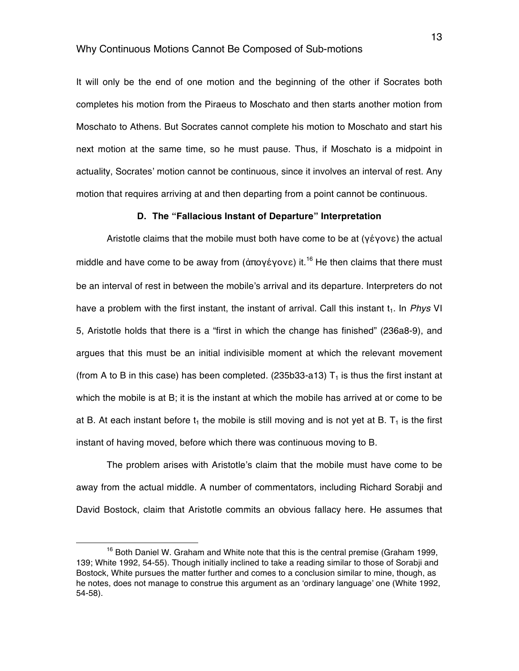It will only be the end of one motion and the beginning of the other if Socrates both completes his motion from the Piraeus to Moschato and then starts another motion from Moschato to Athens. But Socrates cannot complete his motion to Moschato and start his next motion at the same time, so he must pause. Thus, if Moschato is a midpoint in actuality, Socrates' motion cannot be continuous, since it involves an interval of rest. Any motion that requires arriving at and then departing from a point cannot be continuous.

## **D. The "Fallacious Instant of Departure" Interpretation**

Aristotle claims that the mobile must both have come to be at (γέγονε) the actual middle and have come to be away from (ἀπογέγονε) it.<sup>16</sup> He then claims that there must be an interval of rest in between the mobile's arrival and its departure. Interpreters do not have a problem with the first instant, the instant of arrival. Call this instant t<sub>1</sub>. In *Phys* VI 5, Aristotle holds that there is a "first in which the change has finished" (236a8-9), and argues that this must be an initial indivisible moment at which the relevant movement (from A to B in this case) has been completed. (235b33-a13)  $T_1$  is thus the first instant at which the mobile is at B; it is the instant at which the mobile has arrived at or come to be at B. At each instant before  $t_1$  the mobile is still moving and is not yet at B.  $T_1$  is the first instant of having moved, before which there was continuous moving to B.

The problem arises with Aristotle's claim that the mobile must have come to be away from the actual middle. A number of commentators, including Richard Sorabji and David Bostock, claim that Aristotle commits an obvious fallacy here. He assumes that

 $16$  Both Daniel W. Graham and White note that this is the central premise (Graham 1999, 139; White 1992, 54-55). Though initially inclined to take a reading similar to those of Sorabji and Bostock, White pursues the matter further and comes to a conclusion similar to mine, though, as he notes, does not manage to construe this argument as an 'ordinary language' one (White 1992, 54-58).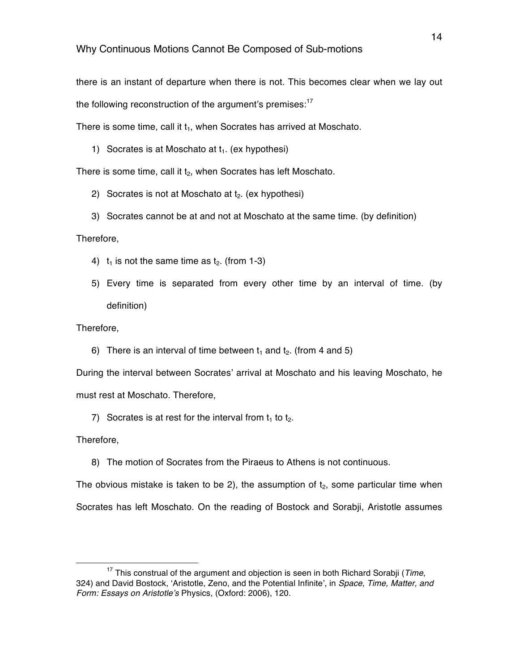there is an instant of departure when there is not. This becomes clear when we lay out the following reconstruction of the argument's premises:<sup>17</sup>

There is some time, call it  $t_1$ , when Socrates has arrived at Moschato.

1) Socrates is at Moschato at  $t_1$ . (ex hypothesi)

There is some time, call it  $t_2$ , when Socrates has left Moschato.

2) Socrates is not at Moschato at  $t<sub>2</sub>$ . (ex hypothesi)

3) Socrates cannot be at and not at Moschato at the same time. (by definition)

Therefore,

- 4)  $t_1$  is not the same time as  $t_2$ . (from 1-3)
- 5) Every time is separated from every other time by an interval of time. (by definition)

Therefore,

6) There is an interval of time between  $t_1$  and  $t_2$ . (from 4 and 5)

During the interval between Socrates' arrival at Moschato and his leaving Moschato, he must rest at Moschato. Therefore,

7) Socrates is at rest for the interval from  $t_1$  to  $t_2$ .

Therefore,

8) The motion of Socrates from the Piraeus to Athens is not continuous.

The obvious mistake is taken to be 2), the assumption of  $t<sub>2</sub>$ , some particular time when Socrates has left Moschato. On the reading of Bostock and Sorabji, Aristotle assumes

<sup>&</sup>lt;sup>17</sup> This construal of the argument and objection is seen in both Richard Sorabji (*Time*, 324) and David Bostock, 'Aristotle, Zeno, and the Potential Infinite', in *Space, Time, Matter, and Form: Essays on Aristotle's* Physics, (Oxford: 2006), 120.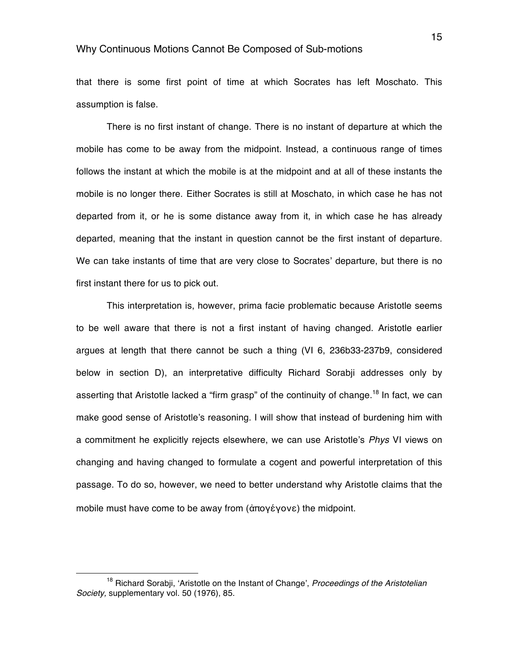that there is some first point of time at which Socrates has left Moschato. This assumption is false.

There is no first instant of change. There is no instant of departure at which the mobile has come to be away from the midpoint. Instead, a continuous range of times follows the instant at which the mobile is at the midpoint and at all of these instants the mobile is no longer there. Either Socrates is still at Moschato, in which case he has not departed from it, or he is some distance away from it, in which case he has already departed, meaning that the instant in question cannot be the first instant of departure. We can take instants of time that are very close to Socrates' departure, but there is no first instant there for us to pick out.

This interpretation is, however, prima facie problematic because Aristotle seems to be well aware that there is not a first instant of having changed. Aristotle earlier argues at length that there cannot be such a thing (VI 6, 236b33-237b9, considered below in section D), an interpretative difficulty Richard Sorabji addresses only by asserting that Aristotle lacked a "firm grasp" of the continuity of change.<sup>18</sup> In fact, we can make good sense of Aristotle's reasoning. I will show that instead of burdening him with a commitment he explicitly rejects elsewhere, we can use Aristotle's *Phys* VI views on changing and having changed to formulate a cogent and powerful interpretation of this passage. To do so, however, we need to better understand why Aristotle claims that the mobile must have come to be away from (ἀπογέγονε) the midpoint.

<sup>18</sup> Richard Sorabji, 'Aristotle on the Instant of Change', *Proceedings of the Aristotelian Society,* supplementary vol. 50 (1976), 85.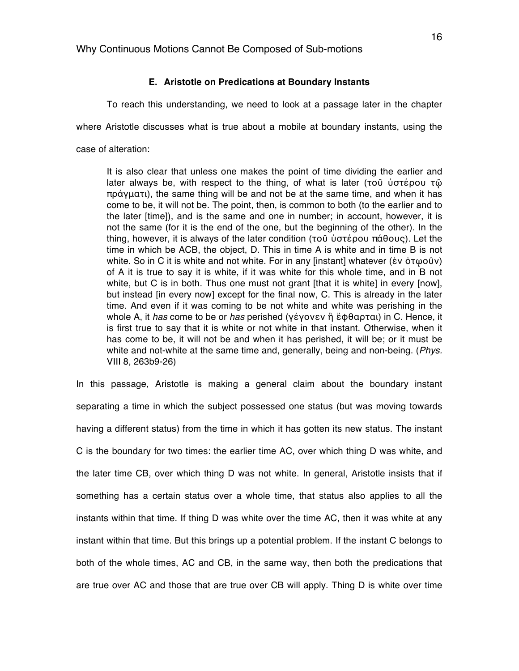# **E. Aristotle on Predications at Boundary Instants**

To reach this understanding, we need to look at a passage later in the chapter

where Aristotle discusses what is true about a mobile at boundary instants, using the

case of alteration:

It is also clear that unless one makes the point of time dividing the earlier and later always be, with respect to the thing, of what is later (τοῦ ὑστέρου τῷ πράγματι), the same thing will be and not be at the same time, and when it has come to be, it will not be. The point, then, is common to both (to the earlier and to the later [time]), and is the same and one in number; in account, however, it is not the same (for it is the end of the one, but the beginning of the other). In the thing, however, it is always of the later condition (τοῦ ὑστέρου πάθους). Let the time in which be ACB, the object, D. This in time A is white and in time B is not white. So in C it is white and not white. For in any [instant] whatever (ἐν ὁτωοῦν) of A it is true to say it is white, if it was white for this whole time, and in B not white, but C is in both. Thus one must not grant [that it is white] in every [now], but instead [in every now] except for the final now, C. This is already in the later time. And even if it was coming to be not white and white was perishing in the whole A, it *has* come to be or *has* perished (γέγονεν ἢ ἔφθαρται) in C. Hence, it is first true to say that it is white or not white in that instant. Otherwise, when it has come to be, it will not be and when it has perished, it will be; or it must be white and not-white at the same time and, generally, being and non-being. (*Phys.* VIII 8, 263b9-26)

In this passage, Aristotle is making a general claim about the boundary instant separating a time in which the subject possessed one status (but was moving towards having a different status) from the time in which it has gotten its new status. The instant C is the boundary for two times: the earlier time AC, over which thing D was white, and the later time CB, over which thing D was not white. In general, Aristotle insists that if something has a certain status over a whole time, that status also applies to all the instants within that time. If thing D was white over the time AC, then it was white at any instant within that time. But this brings up a potential problem. If the instant C belongs to both of the whole times, AC and CB, in the same way, then both the predications that are true over AC and those that are true over CB will apply. Thing D is white over time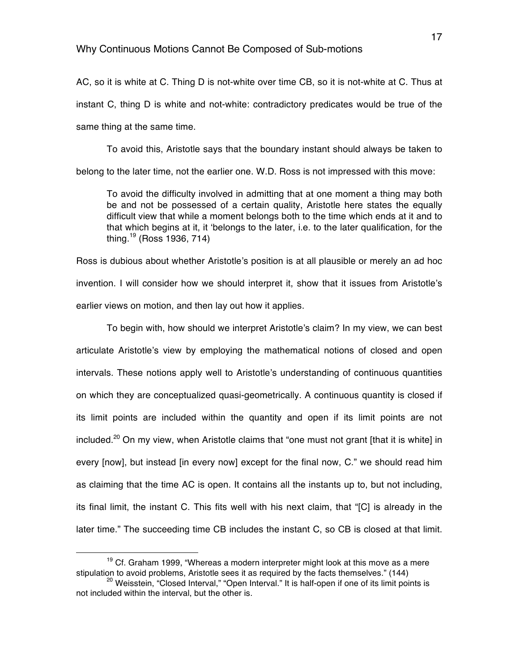AC, so it is white at C. Thing D is not-white over time CB, so it is not-white at C. Thus at instant C, thing D is white and not-white: contradictory predicates would be true of the same thing at the same time.

To avoid this, Aristotle says that the boundary instant should always be taken to belong to the later time, not the earlier one. W.D. Ross is not impressed with this move:

To avoid the difficulty involved in admitting that at one moment a thing may both be and not be possessed of a certain quality, Aristotle here states the equally difficult view that while a moment belongs both to the time which ends at it and to that which begins at it, it 'belongs to the later, i.e. to the later qualification, for the thing.<sup>19</sup> (Ross 1936, 714)

Ross is dubious about whether Aristotle's position is at all plausible or merely an ad hoc invention. I will consider how we should interpret it, show that it issues from Aristotle's earlier views on motion, and then lay out how it applies.

To begin with, how should we interpret Aristotle's claim? In my view, we can best articulate Aristotle's view by employing the mathematical notions of closed and open intervals. These notions apply well to Aristotle's understanding of continuous quantities on which they are conceptualized quasi-geometrically. A continuous quantity is closed if its limit points are included within the quantity and open if its limit points are not included.<sup>20</sup> On my view, when Aristotle claims that "one must not grant [that it is white] in every [now], but instead [in every now] except for the final now, C." we should read him as claiming that the time AC is open. It contains all the instants up to, but not including, its final limit, the instant C. This fits well with his next claim, that "[C] is already in the later time." The succeeding time CB includes the instant C, so CB is closed at that limit.

 $19$  Cf. Graham 1999, "Whereas a modern interpreter might look at this move as a mere stipulation to avoid problems, Aristotle sees it as required by the facts themselves." (144)

<sup>&</sup>lt;sup>20</sup> Weisstein, "Closed Interval," "Open Interval." It is half-open if one of its limit points is not included within the interval, but the other is.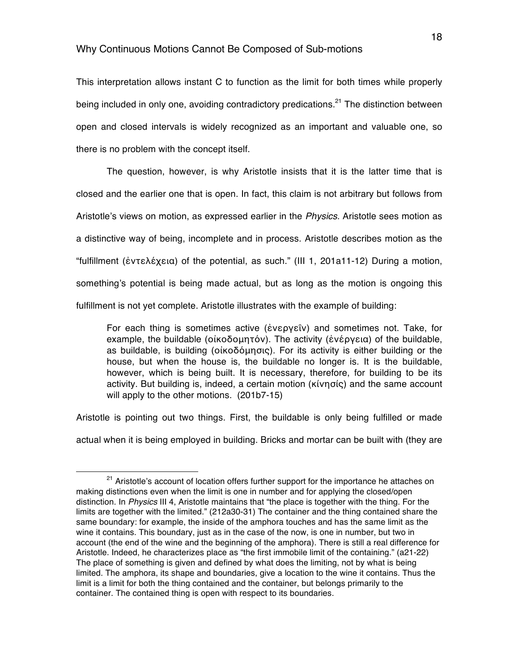This interpretation allows instant C to function as the limit for both times while properly being included in only one, avoiding contradictory predications.<sup>21</sup> The distinction between open and closed intervals is widely recognized as an important and valuable one, so there is no problem with the concept itself.

The question, however, is why Aristotle insists that it is the latter time that is closed and the earlier one that is open. In fact, this claim is not arbitrary but follows from Aristotle's views on motion, as expressed earlier in the *Physics*. Aristotle sees motion as a distinctive way of being, incomplete and in process. Aristotle describes motion as the "fulfillment (ἐντελέχεια) of the potential, as such." (III 1, 201a11-12) During a motion, something's potential is being made actual, but as long as the motion is ongoing this fulfillment is not yet complete. Aristotle illustrates with the example of building:

For each thing is sometimes active (ἐνεργεῖν) and sometimes not. Take, for example, the buildable (οἰκοδομητόν). The activity (ἐνέργεια) of the buildable, as buildable, is building (οἰκοδόμησις). For its activity is either building or the house, but when the house is, the buildable no longer is. It is the buildable, however, which is being built. It is necessary, therefore, for building to be its activity. But building is, indeed, a certain motion (κίνησίς) and the same account will apply to the other motions. (201b7-15)

Aristotle is pointing out two things. First, the buildable is only being fulfilled or made actual when it is being employed in building. Bricks and mortar can be built with (they are

 $21$  Aristotle's account of location offers further support for the importance he attaches on making distinctions even when the limit is one in number and for applying the closed/open distinction. In *Physics* III 4, Aristotle maintains that "the place is together with the thing. For the limits are together with the limited." (212a30-31) The container and the thing contained share the same boundary: for example, the inside of the amphora touches and has the same limit as the wine it contains. This boundary, just as in the case of the now, is one in number, but two in account (the end of the wine and the beginning of the amphora). There is still a real difference for Aristotle. Indeed, he characterizes place as "the first immobile limit of the containing." (a21-22) The place of something is given and defined by what does the limiting, not by what is being limited. The amphora, its shape and boundaries, give a location to the wine it contains. Thus the limit is a limit for both the thing contained and the container, but belongs primarily to the container. The contained thing is open with respect to its boundaries.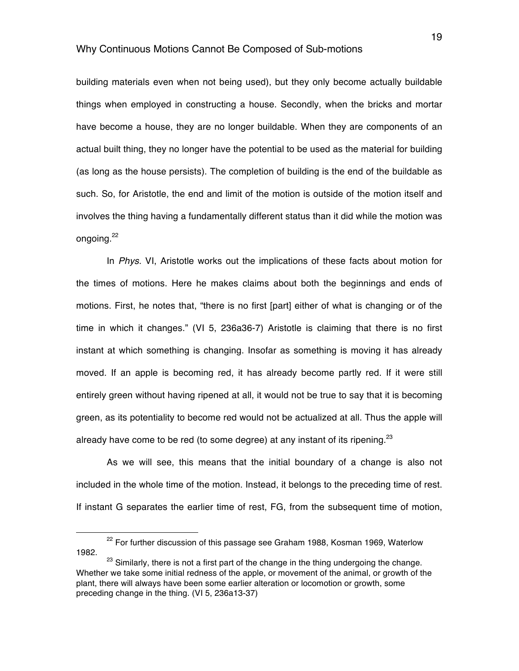building materials even when not being used), but they only become actually buildable things when employed in constructing a house. Secondly, when the bricks and mortar have become a house, they are no longer buildable. When they are components of an actual built thing, they no longer have the potential to be used as the material for building (as long as the house persists). The completion of building is the end of the buildable as such. So, for Aristotle, the end and limit of the motion is outside of the motion itself and involves the thing having a fundamentally different status than it did while the motion was ongoing.<sup>22</sup>

In *Phys.* VI, Aristotle works out the implications of these facts about motion for the times of motions. Here he makes claims about both the beginnings and ends of motions. First, he notes that, "there is no first [part] either of what is changing or of the time in which it changes." (VI 5, 236a36-7) Aristotle is claiming that there is no first instant at which something is changing. Insofar as something is moving it has already moved. If an apple is becoming red, it has already become partly red. If it were still entirely green without having ripened at all, it would not be true to say that it is becoming green, as its potentiality to become red would not be actualized at all. Thus the apple will already have come to be red (to some degree) at any instant of its ripening.<sup>23</sup>

As we will see, this means that the initial boundary of a change is also not included in the whole time of the motion. Instead, it belongs to the preceding time of rest. If instant G separates the earlier time of rest, FG, from the subsequent time of motion,

 $22$  For further discussion of this passage see Graham 1988, Kosman 1969, Waterlow 1982.

<sup>&</sup>lt;sup>23</sup> Similarly, there is not a first part of the change in the thing undergoing the change. Whether we take some initial redness of the apple, or movement of the animal, or growth of the plant, there will always have been some earlier alteration or locomotion or growth, some preceding change in the thing. (VI 5, 236a13-37)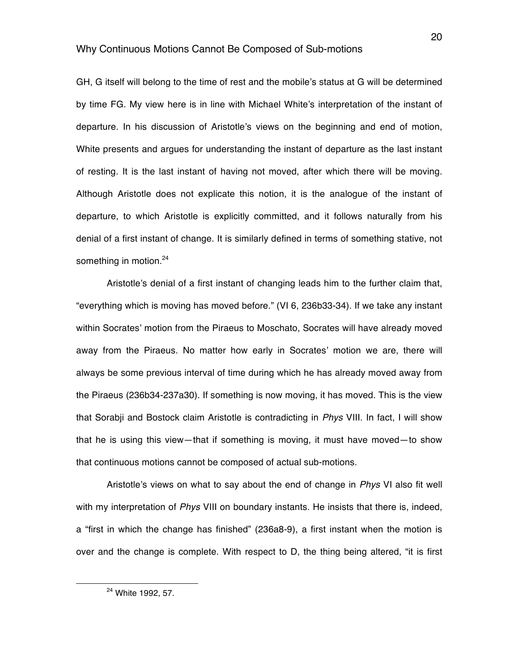GH, G itself will belong to the time of rest and the mobile's status at G will be determined by time FG. My view here is in line with Michael White's interpretation of the instant of departure. In his discussion of Aristotle's views on the beginning and end of motion, White presents and argues for understanding the instant of departure as the last instant of resting. It is the last instant of having not moved, after which there will be moving. Although Aristotle does not explicate this notion, it is the analogue of the instant of departure, to which Aristotle is explicitly committed, and it follows naturally from his denial of a first instant of change. It is similarly defined in terms of something stative, not something in motion.<sup>24</sup>

Aristotle's denial of a first instant of changing leads him to the further claim that, "everything which is moving has moved before." (VI 6, 236b33-34). If we take any instant within Socrates' motion from the Piraeus to Moschato, Socrates will have already moved away from the Piraeus. No matter how early in Socrates' motion we are, there will always be some previous interval of time during which he has already moved away from the Piraeus (236b34-237a30). If something is now moving, it has moved. This is the view that Sorabji and Bostock claim Aristotle is contradicting in *Phys* VIII. In fact, I will show that he is using this view—that if something is moving, it must have moved—to show that continuous motions cannot be composed of actual sub-motions.

Aristotle's views on what to say about the end of change in *Phys* VI also fit well with my interpretation of *Phys* VIII on boundary instants. He insists that there is, indeed, a "first in which the change has finished" (236a8-9), a first instant when the motion is over and the change is complete. With respect to D, the thing being altered, "it is first

<sup>&</sup>lt;sup>24</sup> White 1992, 57.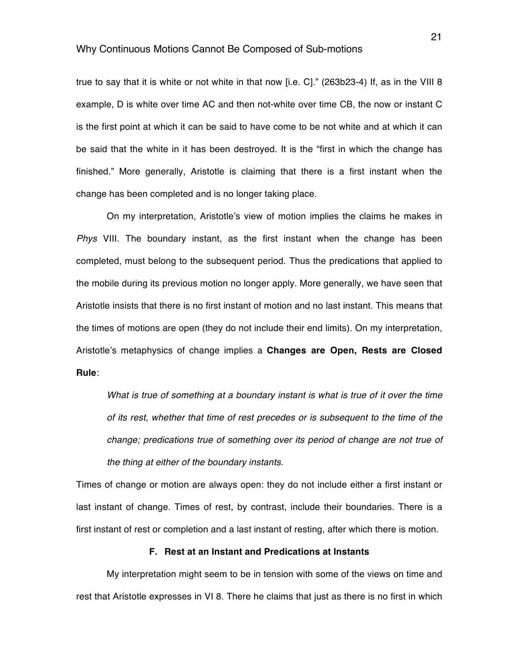true to say that it is white or not white in that now [i.e. C]." (263b23-4) If, as in the VIII 8 example, D is white over time AC and then not-white over time CB, the now or instant C is the first point at which it can be said to have come to be not white and at which it can be said that the white in it has been destroyed. It is the "first in which the change has finished." More generally, Aristotle is claiming that there is a first instant when the change has been completed and is no longer taking place.

On my interpretation, Aristotle's view of motion implies the claims he makes in *Phys* VIII. The boundary instant, as the first instant when the change has been completed, must belong to the subsequent period. Thus the predications that applied to the mobile during its previous motion no longer apply. More generally, we have seen that Aristotle insists that there is no first instant of motion and no last instant. This means that the times of motions are open (they do not include their end limits). On my interpretation, Aristotle's metaphysics of change implies a **Changes are Open, Rests are Closed Rule**:

*What is true of something at a boundary instant is what is true of it over the time of its rest, whether that time of rest precedes or is subsequent to the time of the change; predications true of something over its period of change are not true of the thing at either of the boundary instants.*

Times of change or motion are always open: they do not include either a first instant or last instant of change. Times of rest, by contrast, include their boundaries. There is a first instant of rest or completion and a last instant of resting, after which there is motion.

# **F. Rest at an Instant and Predications at Instants**

My interpretation might seem to be in tension with some of the views on time and rest that Aristotle expresses in VI 8. There he claims that just as there is no first in which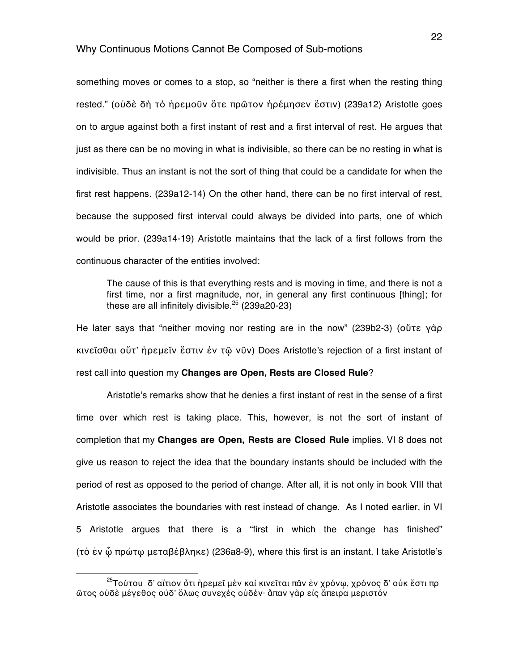something moves or comes to a stop, so "neither is there a first when the resting thing rested." (οὐδὲ δὴ τὸ ἠρεμοῦν ὅτε πρῶτον ἠρέμησεν ἔστιν) (239a12) Aristotle goes on to argue against both a first instant of rest and a first interval of rest. He argues that just as there can be no moving in what is indivisible, so there can be no resting in what is indivisible. Thus an instant is not the sort of thing that could be a candidate for when the first rest happens. (239a12-14) On the other hand, there can be no first interval of rest, because the supposed first interval could always be divided into parts, one of which would be prior. (239a14-19) Aristotle maintains that the lack of a first follows from the continuous character of the entities involved:

The cause of this is that everything rests and is moving in time, and there is not a first time, nor a first magnitude, nor, in general any first continuous [thing]; for these are all infinitely divisible. $25$  (239a20-23)

He later says that "neither moving nor resting are in the now" (239b2-3) (οὔτε γὰρ κινεῖσθαι οὔτ' ἠρεμεῖν ἔστιν ἐν τῷ νῦν) Does Aristotle's rejection of a first instant of rest call into question my **Changes are Open, Rests are Closed Rule**?

Aristotle's remarks show that he denies a first instant of rest in the sense of a first time over which rest is taking place. This, however, is not the sort of instant of completion that my **Changes are Open, Rests are Closed Rule** implies. VI 8 does not give us reason to reject the idea that the boundary instants should be included with the period of rest as opposed to the period of change. After all, it is not only in book VIII that Aristotle associates the boundaries with rest instead of change. As I noted earlier, in VI 5 Aristotle argues that there is a "first in which the change has finished" (τὸ ἐν ᾧ πρώτῳ μεταβέβληκε) (236a8-9), where this first is an instant. I take Aristotle's

<sup>&</sup>lt;sup>25</sup>Τούτου δ' αἴτιον ὅτι ἠρεμεῖ μὲν καὶ κινεῖται πᾶν ἐν χρόνῳ, χρόνος δ' οὐκ ἔστι πρ ῶτος οὐδὲ μέγεθος οὐδ' ὅλως συνεχὲς οὐδέν· ἅπαν γὰρ εἰς ἄπειρα μεριστόν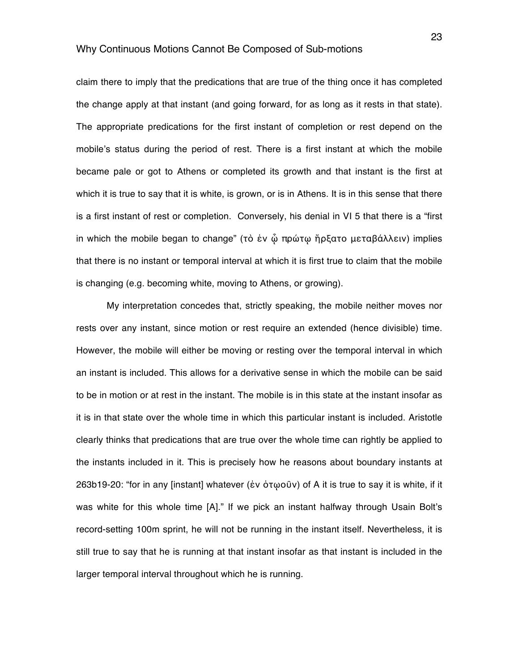claim there to imply that the predications that are true of the thing once it has completed the change apply at that instant (and going forward, for as long as it rests in that state). The appropriate predications for the first instant of completion or rest depend on the mobile's status during the period of rest. There is a first instant at which the mobile became pale or got to Athens or completed its growth and that instant is the first at which it is true to say that it is white, is grown, or is in Athens. It is in this sense that there is a first instant of rest or completion. Conversely, his denial in VI 5 that there is a "first in which the mobile began to change" (τὸ ἐν ᾧ πρώτῳ ἤρξατο μεταβάλλειν) implies that there is no instant or temporal interval at which it is first true to claim that the mobile is changing (e.g. becoming white, moving to Athens, or growing).

My interpretation concedes that, strictly speaking, the mobile neither moves nor rests over any instant, since motion or rest require an extended (hence divisible) time. However, the mobile will either be moving or resting over the temporal interval in which an instant is included. This allows for a derivative sense in which the mobile can be said to be in motion or at rest in the instant. The mobile is in this state at the instant insofar as it is in that state over the whole time in which this particular instant is included. Aristotle clearly thinks that predications that are true over the whole time can rightly be applied to the instants included in it. This is precisely how he reasons about boundary instants at 263b19-20: "for in any [instant] whatever (ἐν ὁτῳοῦν) of A it is true to say it is white, if it was white for this whole time [A]." If we pick an instant halfway through Usain Bolt's record-setting 100m sprint, he will not be running in the instant itself. Nevertheless, it is still true to say that he is running at that instant insofar as that instant is included in the larger temporal interval throughout which he is running.

23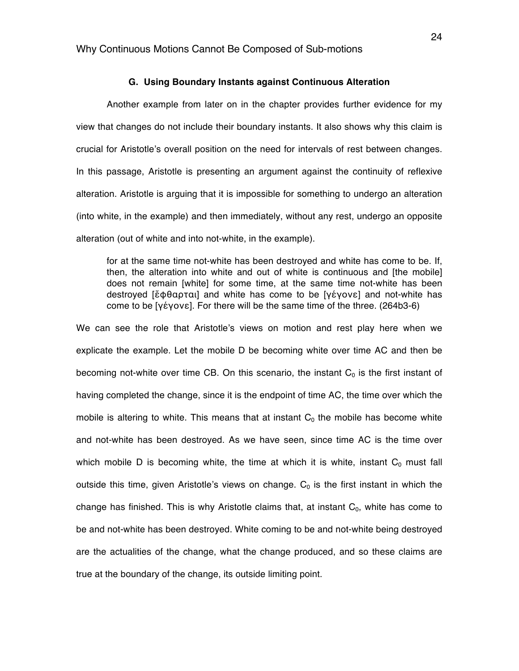#### **G. Using Boundary Instants against Continuous Alteration**

Another example from later on in the chapter provides further evidence for my view that changes do not include their boundary instants. It also shows why this claim is crucial for Aristotle's overall position on the need for intervals of rest between changes. In this passage, Aristotle is presenting an argument against the continuity of reflexive alteration. Aristotle is arguing that it is impossible for something to undergo an alteration (into white, in the example) and then immediately, without any rest, undergo an opposite alteration (out of white and into not-white, in the example).

for at the same time not-white has been destroyed and white has come to be. If, then, the alteration into white and out of white is continuous and [the mobile] does not remain [white] for some time, at the same time not-white has been destroyed [ἔφθαρται] and white has come to be [γέγονε] and not-white has come to be [γέγονε]. For there will be the same time of the three. (264b3-6)

We can see the role that Aristotle's views on motion and rest play here when we explicate the example. Let the mobile D be becoming white over time AC and then be becoming not-white over time CB. On this scenario, the instant  $C_0$  is the first instant of having completed the change, since it is the endpoint of time AC, the time over which the mobile is altering to white. This means that at instant  $C_0$  the mobile has become white and not-white has been destroyed. As we have seen, since time AC is the time over which mobile D is becoming white, the time at which it is white, instant  $C_0$  must fall outside this time, given Aristotle's views on change.  $C_0$  is the first instant in which the change has finished. This is why Aristotle claims that, at instant  $C_0$ , white has come to be and not-white has been destroyed. White coming to be and not-white being destroyed are the actualities of the change, what the change produced, and so these claims are true at the boundary of the change, its outside limiting point.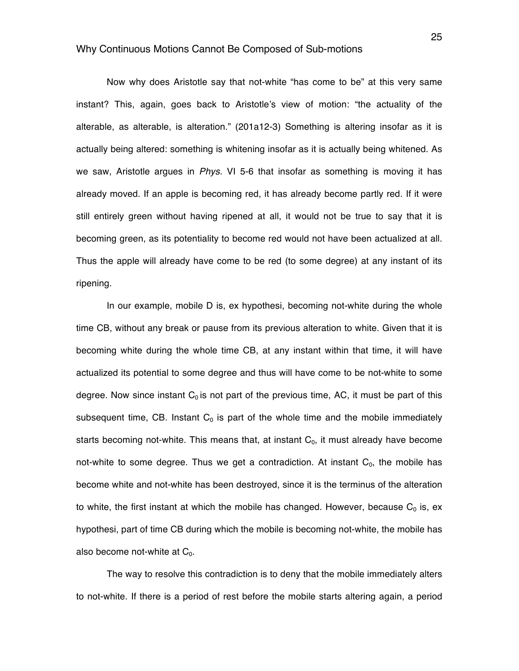Now why does Aristotle say that not-white "has come to be" at this very same instant? This, again, goes back to Aristotle's view of motion: "the actuality of the alterable, as alterable, is alteration." (201a12-3) Something is altering insofar as it is actually being altered: something is whitening insofar as it is actually being whitened. As we saw, Aristotle argues in *Phys.* VI 5-6 that insofar as something is moving it has already moved. If an apple is becoming red, it has already become partly red. If it were still entirely green without having ripened at all, it would not be true to say that it is becoming green, as its potentiality to become red would not have been actualized at all. Thus the apple will already have come to be red (to some degree) at any instant of its ripening.

In our example, mobile D is, ex hypothesi, becoming not-white during the whole time CB, without any break or pause from its previous alteration to white. Given that it is becoming white during the whole time CB, at any instant within that time, it will have actualized its potential to some degree and thus will have come to be not-white to some degree. Now since instant  $C_0$  is not part of the previous time, AC, it must be part of this subsequent time, CB. Instant  $C_0$  is part of the whole time and the mobile immediately starts becoming not-white. This means that, at instant  $C_0$ , it must already have become not-white to some degree. Thus we get a contradiction. At instant  $C_0$ , the mobile has become white and not-white has been destroyed, since it is the terminus of the alteration to white, the first instant at which the mobile has changed. However, because  $C_0$  is, ex hypothesi, part of time CB during which the mobile is becoming not-white, the mobile has also become not-white at  $C_0$ .

The way to resolve this contradiction is to deny that the mobile immediately alters to not-white. If there is a period of rest before the mobile starts altering again, a period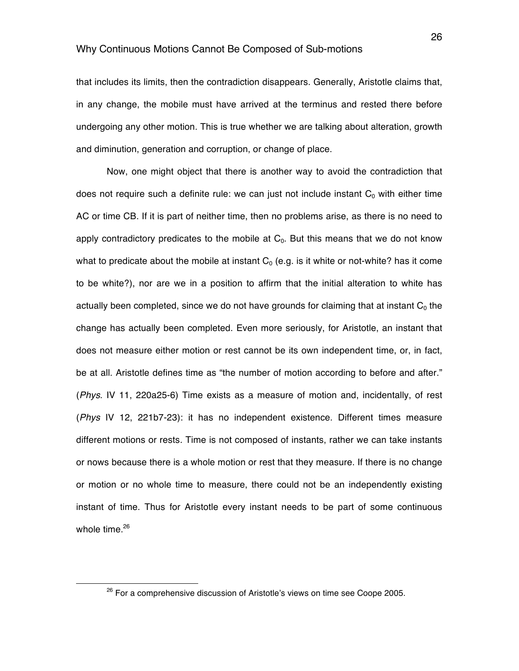that includes its limits, then the contradiction disappears. Generally, Aristotle claims that, in any change, the mobile must have arrived at the terminus and rested there before undergoing any other motion. This is true whether we are talking about alteration, growth and diminution, generation and corruption, or change of place.

Now, one might object that there is another way to avoid the contradiction that does not require such a definite rule: we can just not include instant  $C_0$  with either time AC or time CB. If it is part of neither time, then no problems arise, as there is no need to apply contradictory predicates to the mobile at  $C_0$ . But this means that we do not know what to predicate about the mobile at instant  $C_0$  (e.g. is it white or not-white? has it come to be white?), nor are we in a position to affirm that the initial alteration to white has actually been completed, since we do not have grounds for claiming that at instant  $C_0$  the change has actually been completed. Even more seriously, for Aristotle, an instant that does not measure either motion or rest cannot be its own independent time, or, in fact, be at all. Aristotle defines time as "the number of motion according to before and after." (*Phys*. IV 11, 220a25-6) Time exists as a measure of motion and, incidentally, of rest (*Phys* IV 12, 221b7-23): it has no independent existence. Different times measure different motions or rests. Time is not composed of instants, rather we can take instants or nows because there is a whole motion or rest that they measure. If there is no change or motion or no whole time to measure, there could not be an independently existing instant of time. Thus for Aristotle every instant needs to be part of some continuous whole time.<sup>26</sup>

<sup>&</sup>lt;sup>26</sup> For a comprehensive discussion of Aristotle's views on time see Coope 2005.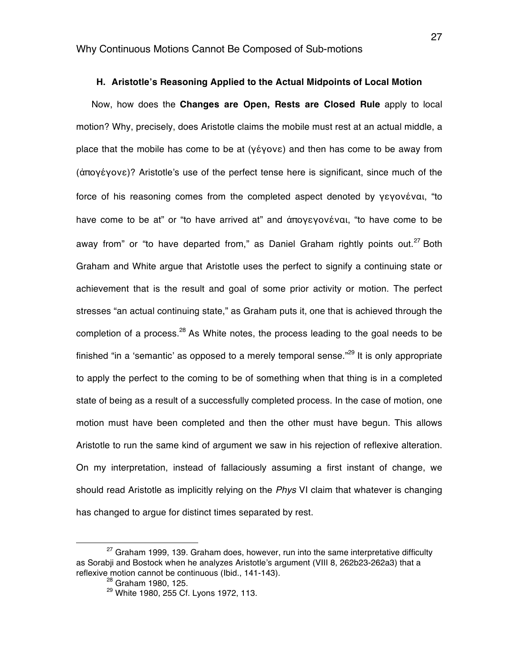## **H. Aristotle's Reasoning Applied to the Actual Midpoints of Local Motion**

Now, how does the **Changes are Open, Rests are Closed Rule** apply to local motion? Why, precisely, does Aristotle claims the mobile must rest at an actual middle, a place that the mobile has come to be at (γέγονε) and then has come to be away from (ἀπογέγονε)? Aristotle's use of the perfect tense here is significant, since much of the force of his reasoning comes from the completed aspect denoted by γεγονέναι, "to have come to be at" or "to have arrived at" and ἀπογεγονέναι, "to have come to be away from" or "to have departed from." as Daniel Graham rightly points out.<sup>27</sup> Both Graham and White argue that Aristotle uses the perfect to signify a continuing state or achievement that is the result and goal of some prior activity or motion. The perfect stresses "an actual continuing state," as Graham puts it, one that is achieved through the completion of a process.<sup>28</sup> As White notes, the process leading to the goal needs to be finished "in a 'semantic' as opposed to a merely temporal sense."<sup>29</sup> It is only appropriate to apply the perfect to the coming to be of something when that thing is in a completed state of being as a result of a successfully completed process. In the case of motion, one motion must have been completed and then the other must have begun. This allows Aristotle to run the same kind of argument we saw in his rejection of reflexive alteration. On my interpretation, instead of fallaciously assuming a first instant of change, we should read Aristotle as implicitly relying on the *Phys* VI claim that whatever is changing has changed to argue for distinct times separated by rest.

 $27$  Graham 1999, 139. Graham does, however, run into the same interpretative difficulty as Sorabji and Bostock when he analyzes Aristotle's argument (VIII 8, 262b23-262a3) that a reflexive motion cannot be continuous (Ibid., 141-143).

<sup>&</sup>lt;sup>28</sup> Graham 1980, 125.

 $29$  White 1980, 255 Cf. Lyons 1972, 113.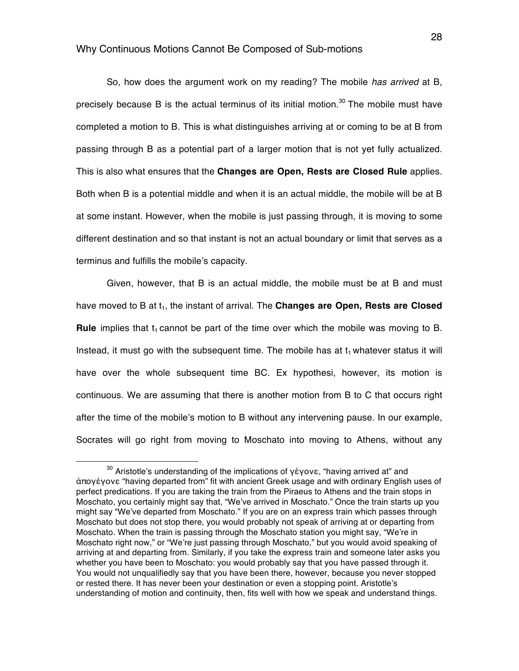So, how does the argument work on my reading? The mobile *has arrived* at B, precisely because B is the actual terminus of its initial motion.<sup>30</sup> The mobile must have completed a motion to B. This is what distinguishes arriving at or coming to be at B from passing through B as a potential part of a larger motion that is not yet fully actualized. This is also what ensures that the **Changes are Open, Rests are Closed Rule** applies. Both when B is a potential middle and when it is an actual middle, the mobile will be at B at some instant. However, when the mobile is just passing through, it is moving to some different destination and so that instant is not an actual boundary or limit that serves as a terminus and fulfills the mobile's capacity.

Given, however, that B is an actual middle, the mobile must be at B and must have moved to B at t1, the instant of arrival. The **Changes are Open, Rests are Closed Rule** implies that  $t_1$  cannot be part of the time over which the mobile was moving to B. Instead, it must go with the subsequent time. The mobile has at  $t_1$  whatever status it will have over the whole subsequent time BC. Ex hypothesi, however, its motion is continuous. We are assuming that there is another motion from B to C that occurs right after the time of the mobile's motion to B without any intervening pause. In our example, Socrates will go right from moving to Moschato into moving to Athens, without any

<sup>&</sup>lt;sup>30</sup> Aristotle's understanding of the implications of γέγονε, "having arrived at" and ἀπογέγονε "having departed from" fit with ancient Greek usage and with ordinary English uses of perfect predications. If you are taking the train from the Piraeus to Athens and the train stops in Moschato, you certainly might say that, "We've arrived in Moschato." Once the train starts up you might say "We've departed from Moschato." If you are on an express train which passes through Moschato but does not stop there, you would probably not speak of arriving at or departing from Moschato. When the train is passing through the Moschato station you might say, "We're in Moschato right now," or "We're just passing through Moschato," but you would avoid speaking of arriving at and departing from. Similarly, if you take the express train and someone later asks you whether you have been to Moschato: you would probably say that you have passed through it. You would not unqualifiedly say that you have been there, however, because you never stopped or rested there. It has never been your destination or even a stopping point. Aristotle's understanding of motion and continuity, then, fits well with how we speak and understand things.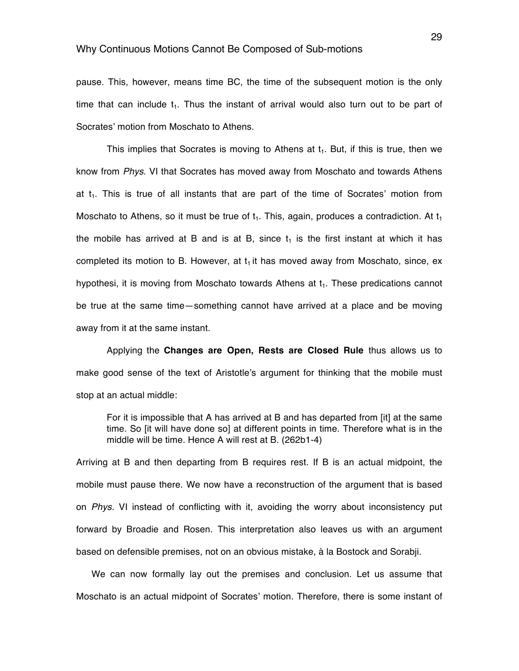pause. This, however, means time BC, the time of the subsequent motion is the only time that can include  $t_1$ . Thus the instant of arrival would also turn out to be part of Socrates' motion from Moschato to Athens.

This implies that Socrates is moving to Athens at  $t_1$ . But, if this is true, then we know from *Phys*. VI that Socrates has moved away from Moschato and towards Athens at  $t_1$ . This is true of all instants that are part of the time of Socrates' motion from Moschato to Athens, so it must be true of  $t_1$ . This, again, produces a contradiction. At  $t_1$ the mobile has arrived at B and is at B, since  $t_1$  is the first instant at which it has completed its motion to B. However, at  $t_1$  it has moved away from Moschato, since, ex hypothesi, it is moving from Moschato towards Athens at  $t<sub>1</sub>$ . These predications cannot be true at the same time—something cannot have arrived at a place and be moving away from it at the same instant.

Applying the **Changes are Open, Rests are Closed Rule** thus allows us to make good sense of the text of Aristotle's argument for thinking that the mobile must stop at an actual middle:

For it is impossible that A has arrived at B and has departed from [it] at the same time. So [it will have done so] at different points in time. Therefore what is in the middle will be time. Hence A will rest at B. (262b1-4)

Arriving at B and then departing from B requires rest. If B is an actual midpoint, the mobile must pause there. We now have a reconstruction of the argument that is based on *Phys.* VI instead of conflicting with it, avoiding the worry about inconsistency put forward by Broadie and Rosen. This interpretation also leaves us with an argument based on defensible premises, not on an obvious mistake, à la Bostock and Sorabji.

We can now formally lay out the premises and conclusion. Let us assume that Moschato is an actual midpoint of Socrates' motion. Therefore, there is some instant of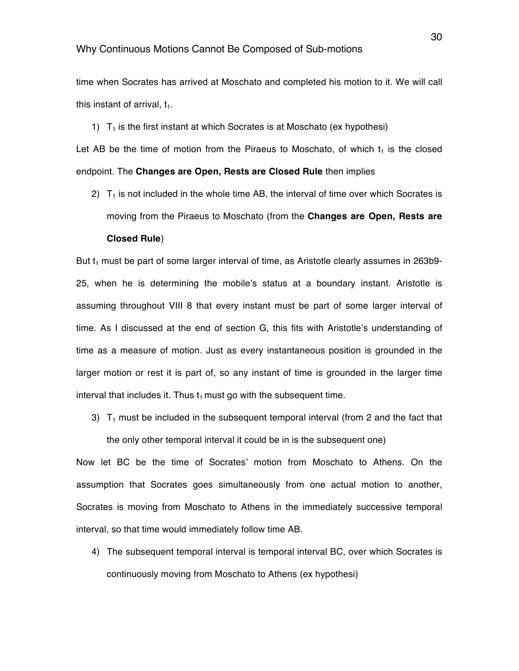time when Socrates has arrived at Moschato and completed his motion to it. We will call this instant of arrival,  $t_1$ .

1)  $T_1$  is the first instant at which Socrates is at Moschato (ex hypothesi)

Let AB be the time of motion from the Piraeus to Moschato, of which  $t_1$  is the closed endpoint. The **Changes are Open, Rests are Closed Rule** then implies

2)  $T_1$  is not included in the whole time AB, the interval of time over which Socrates is moving from the Piraeus to Moschato (from the **Changes are Open, Rests are Closed Rule**)

But  $t_1$  must be part of some larger interval of time, as Aristotle clearly assumes in 263b9-25, when he is determining the mobile's status at a boundary instant. Aristotle is assuming throughout VIII 8 that every instant must be part of some larger interval of time. As I discussed at the end of section G, this fits with Aristotle's understanding of time as a measure of motion. Just as every instantaneous position is grounded in the larger motion or rest it is part of, so any instant of time is grounded in the larger time interval that includes it. Thus  $t_1$  must go with the subsequent time.

3)  $T_1$  must be included in the subsequent temporal interval (from 2 and the fact that the only other temporal interval it could be in is the subsequent one)

Now let BC be the time of Socrates' motion from Moschato to Athens. On the assumption that Socrates goes simultaneously from one actual motion to another, Socrates is moving from Moschato to Athens in the immediately successive temporal interval, so that time would immediately follow time AB.

4) The subsequent temporal interval is temporal interval BC, over which Socrates is continuously moving from Moschato to Athens (ex hypothesi)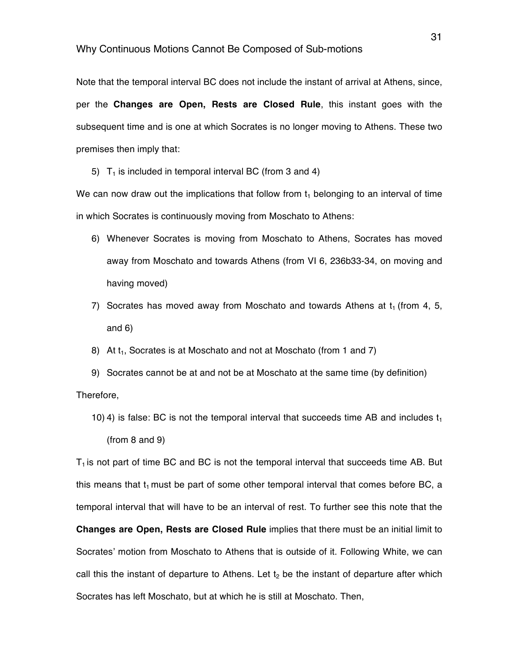Note that the temporal interval BC does not include the instant of arrival at Athens, since, per the **Changes are Open, Rests are Closed Rule**, this instant goes with the subsequent time and is one at which Socrates is no longer moving to Athens. These two premises then imply that:

5)  $T_1$  is included in temporal interval BC (from 3 and 4)

We can now draw out the implications that follow from  $t_1$  belonging to an interval of time in which Socrates is continuously moving from Moschato to Athens:

- 6) Whenever Socrates is moving from Moschato to Athens, Socrates has moved away from Moschato and towards Athens (from VI 6, 236b33-34, on moving and having moved)
- 7) Socrates has moved away from Moschato and towards Athens at  $t_1$  (from 4, 5, and 6)
- 8) At  $t_1$ , Socrates is at Moschato and not at Moschato (from 1 and 7)
- 9) Socrates cannot be at and not be at Moschato at the same time (by definition) Therefore,
	- 10) 4) is false: BC is not the temporal interval that succeeds time AB and includes  $t_1$ (from 8 and 9)

 $T_1$  is not part of time BC and BC is not the temporal interval that succeeds time AB. But this means that  $t_1$  must be part of some other temporal interval that comes before BC, a temporal interval that will have to be an interval of rest. To further see this note that the **Changes are Open, Rests are Closed Rule** implies that there must be an initial limit to Socrates' motion from Moschato to Athens that is outside of it. Following White, we can call this the instant of departure to Athens. Let  $t<sub>2</sub>$  be the instant of departure after which Socrates has left Moschato, but at which he is still at Moschato. Then,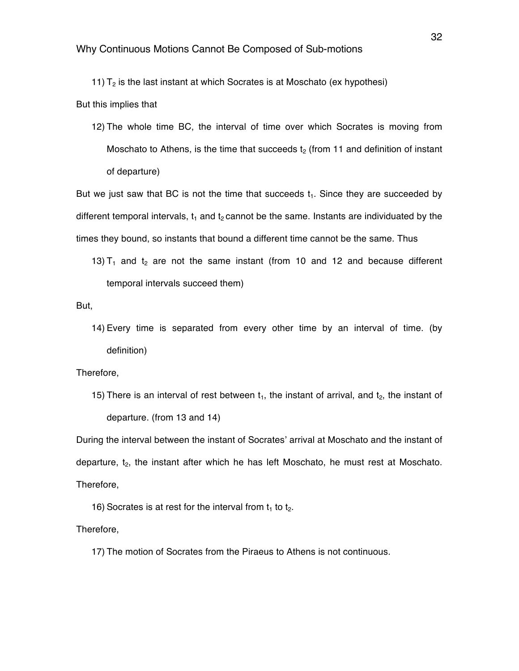11)  $T_2$  is the last instant at which Socrates is at Moschato (ex hypothesi)

But this implies that

12) The whole time BC, the interval of time over which Socrates is moving from Moschato to Athens, is the time that succeeds  $t_2$  (from 11 and definition of instant of departure)

But we just saw that BC is not the time that succeeds  $t_1$ . Since they are succeeded by different temporal intervals,  $t_1$  and  $t_2$  cannot be the same. Instants are individuated by the times they bound, so instants that bound a different time cannot be the same. Thus

13)  $T_1$  and  $t_2$  are not the same instant (from 10 and 12 and because different temporal intervals succeed them)

But,

14) Every time is separated from every other time by an interval of time. (by definition)

Therefore,

15) There is an interval of rest between  $t_1$ , the instant of arrival, and  $t_2$ , the instant of departure. (from 13 and 14)

During the interval between the instant of Socrates' arrival at Moschato and the instant of departure,  $t_2$ , the instant after which he has left Moschato, he must rest at Moschato. Therefore,

16) Socrates is at rest for the interval from  $t_1$  to  $t_2$ .

Therefore,

17) The motion of Socrates from the Piraeus to Athens is not continuous.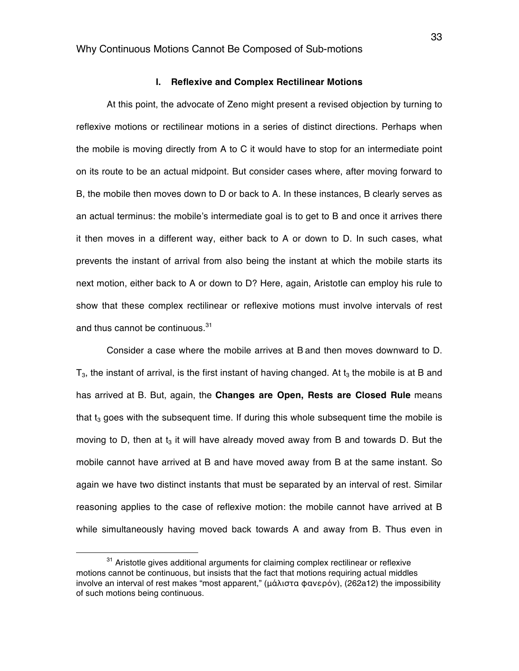## **I. Reflexive and Complex Rectilinear Motions**

At this point, the advocate of Zeno might present a revised objection by turning to reflexive motions or rectilinear motions in a series of distinct directions. Perhaps when the mobile is moving directly from A to C it would have to stop for an intermediate point on its route to be an actual midpoint. But consider cases where, after moving forward to B, the mobile then moves down to D or back to A. In these instances, B clearly serves as an actual terminus: the mobile's intermediate goal is to get to B and once it arrives there it then moves in a different way, either back to A or down to D. In such cases, what prevents the instant of arrival from also being the instant at which the mobile starts its next motion, either back to A or down to D? Here, again, Aristotle can employ his rule to show that these complex rectilinear or reflexive motions must involve intervals of rest and thus cannot be continuous.<sup>31</sup>

Consider a case where the mobile arrives at B and then moves downward to D.  $T_3$ , the instant of arrival, is the first instant of having changed. At  $t_3$  the mobile is at B and has arrived at B. But, again, the **Changes are Open, Rests are Closed Rule** means that  $t<sub>3</sub>$  goes with the subsequent time. If during this whole subsequent time the mobile is moving to D, then at  $t_3$  it will have already moved away from B and towards D. But the mobile cannot have arrived at B and have moved away from B at the same instant. So again we have two distinct instants that must be separated by an interval of rest. Similar reasoning applies to the case of reflexive motion: the mobile cannot have arrived at B while simultaneously having moved back towards A and away from B. Thus even in

<sup>&</sup>lt;sup>31</sup> Aristotle gives additional arguments for claiming complex rectilinear or reflexive motions cannot be continuous, but insists that the fact that motions requiring actual middles involve an interval of rest makes "most apparent," (μάλιστα φανερόν), (262a12) the impossibility of such motions being continuous.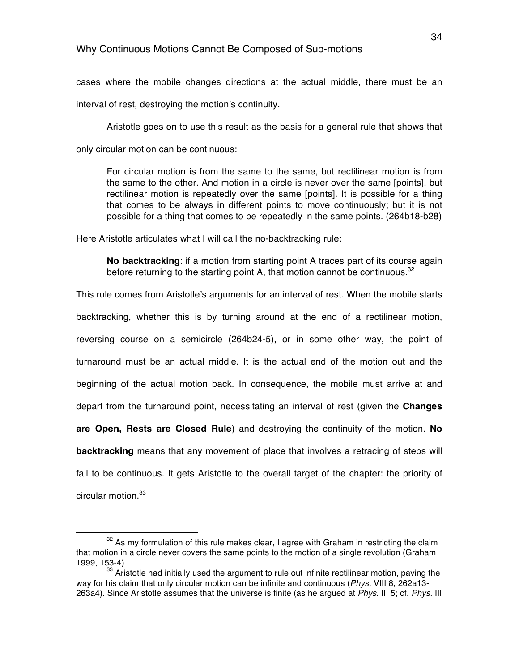cases where the mobile changes directions at the actual middle, there must be an interval of rest, destroying the motion's continuity.

Aristotle goes on to use this result as the basis for a general rule that shows that

only circular motion can be continuous:

For circular motion is from the same to the same, but rectilinear motion is from the same to the other. And motion in a circle is never over the same [points], but rectilinear motion is repeatedly over the same [points]. It is possible for a thing that comes to be always in different points to move continuously; but it is not possible for a thing that comes to be repeatedly in the same points. (264b18-b28)

Here Aristotle articulates what I will call the no-backtracking rule:

**No backtracking**: if a motion from starting point A traces part of its course again before returning to the starting point A, that motion cannot be continuous. $32$ 

This rule comes from Aristotle's arguments for an interval of rest. When the mobile starts backtracking, whether this is by turning around at the end of a rectilinear motion, reversing course on a semicircle (264b24-5), or in some other way, the point of turnaround must be an actual middle. It is the actual end of the motion out and the beginning of the actual motion back. In consequence, the mobile must arrive at and depart from the turnaround point, necessitating an interval of rest (given the **Changes are Open, Rests are Closed Rule**) and destroying the continuity of the motion. **No backtracking** means that any movement of place that involves a retracing of steps will fail to be continuous. It gets Aristotle to the overall target of the chapter: the priority of circular motion.<sup>33</sup>

 $32$  As my formulation of this rule makes clear, I agree with Graham in restricting the claim that motion in a circle never covers the same points to the motion of a single revolution (Graham 1999, 153-4).

 $33$  Aristotle had initially used the argument to rule out infinite rectilinear motion, paving the way for his claim that only circular motion can be infinite and continuous (*Phys.* VIII 8, 262a13- 263a4). Since Aristotle assumes that the universe is finite (as he argued at *Phys.* III 5; cf. *Phys.* III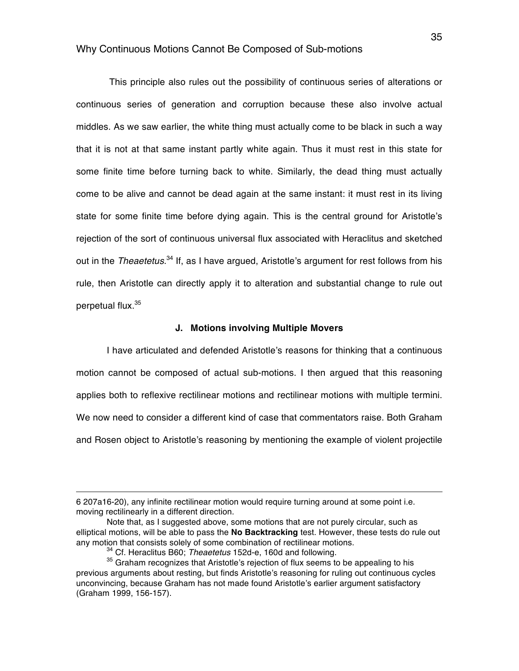This principle also rules out the possibility of continuous series of alterations or continuous series of generation and corruption because these also involve actual middles. As we saw earlier, the white thing must actually come to be black in such a way that it is not at that same instant partly white again. Thus it must rest in this state for some finite time before turning back to white. Similarly, the dead thing must actually come to be alive and cannot be dead again at the same instant: it must rest in its living state for some finite time before dying again. This is the central ground for Aristotle's rejection of the sort of continuous universal flux associated with Heraclitus and sketched out in the *Theaetetus*. <sup>34</sup> If, as I have argued, Aristotle's argument for rest follows from his rule, then Aristotle can directly apply it to alteration and substantial change to rule out perpetual flux.<sup>35</sup>

#### **J. Motions involving Multiple Movers**

I have articulated and defended Aristotle's reasons for thinking that a continuous motion cannot be composed of actual sub-motions. I then argued that this reasoning applies both to reflexive rectilinear motions and rectilinear motions with multiple termini. We now need to consider a different kind of case that commentators raise. Both Graham and Rosen object to Aristotle's reasoning by mentioning the example of violent projectile

 $\overline{a}$ 

<sup>6</sup> 207a16-20), any infinite rectilinear motion would require turning around at some point i.e. moving rectilinearly in a different direction.

Note that, as I suggested above, some motions that are not purely circular, such as elliptical motions, will be able to pass the **No Backtracking** test. However, these tests do rule out any motion that consists solely of some combination of rectilinear motions.

<sup>34</sup> Cf. Heraclitus B60; *Theaetetus* 152d-e, 160d and following.

<sup>&</sup>lt;sup>35</sup> Graham recognizes that Aristotle's rejection of flux seems to be appealing to his previous arguments about resting, but finds Aristotle's reasoning for ruling out continuous cycles unconvincing, because Graham has not made found Aristotle's earlier argument satisfactory (Graham 1999, 156-157).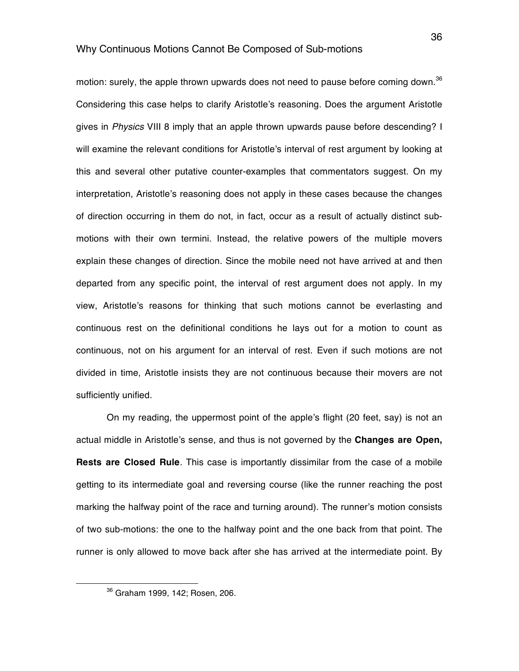motion: surely, the apple thrown upwards does not need to pause before coming down.<sup>36</sup> Considering this case helps to clarify Aristotle's reasoning. Does the argument Aristotle gives in *Physics* VIII 8 imply that an apple thrown upwards pause before descending? I will examine the relevant conditions for Aristotle's interval of rest argument by looking at this and several other putative counter-examples that commentators suggest. On my interpretation, Aristotle's reasoning does not apply in these cases because the changes of direction occurring in them do not, in fact, occur as a result of actually distinct submotions with their own termini. Instead, the relative powers of the multiple movers explain these changes of direction. Since the mobile need not have arrived at and then departed from any specific point, the interval of rest argument does not apply. In my view, Aristotle's reasons for thinking that such motions cannot be everlasting and continuous rest on the definitional conditions he lays out for a motion to count as continuous, not on his argument for an interval of rest. Even if such motions are not divided in time, Aristotle insists they are not continuous because their movers are not sufficiently unified.

On my reading, the uppermost point of the apple's flight (20 feet, say) is not an actual middle in Aristotle's sense, and thus is not governed by the **Changes are Open, Rests are Closed Rule**. This case is importantly dissimilar from the case of a mobile getting to its intermediate goal and reversing course (like the runner reaching the post marking the halfway point of the race and turning around). The runner's motion consists of two sub-motions: the one to the halfway point and the one back from that point. The runner is only allowed to move back after she has arrived at the intermediate point. By

<sup>36</sup> Graham 1999, 142; Rosen, 206.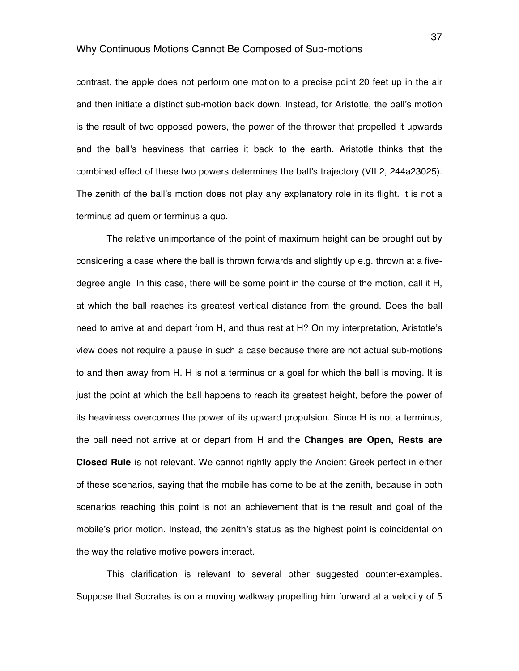contrast, the apple does not perform one motion to a precise point 20 feet up in the air and then initiate a distinct sub-motion back down. Instead, for Aristotle, the ball's motion is the result of two opposed powers, the power of the thrower that propelled it upwards and the ball's heaviness that carries it back to the earth. Aristotle thinks that the combined effect of these two powers determines the ball's trajectory (VII 2, 244a23025). The zenith of the ball's motion does not play any explanatory role in its flight. It is not a terminus ad quem or terminus a quo.

The relative unimportance of the point of maximum height can be brought out by considering a case where the ball is thrown forwards and slightly up e.g. thrown at a fivedegree angle. In this case, there will be some point in the course of the motion, call it H, at which the ball reaches its greatest vertical distance from the ground. Does the ball need to arrive at and depart from H, and thus rest at H? On my interpretation, Aristotle's view does not require a pause in such a case because there are not actual sub-motions to and then away from H. H is not a terminus or a goal for which the ball is moving. It is just the point at which the ball happens to reach its greatest height, before the power of its heaviness overcomes the power of its upward propulsion. Since H is not a terminus, the ball need not arrive at or depart from H and the **Changes are Open, Rests are Closed Rule** is not relevant. We cannot rightly apply the Ancient Greek perfect in either of these scenarios, saying that the mobile has come to be at the zenith, because in both scenarios reaching this point is not an achievement that is the result and goal of the mobile's prior motion. Instead, the zenith's status as the highest point is coincidental on the way the relative motive powers interact.

This clarification is relevant to several other suggested counter-examples. Suppose that Socrates is on a moving walkway propelling him forward at a velocity of 5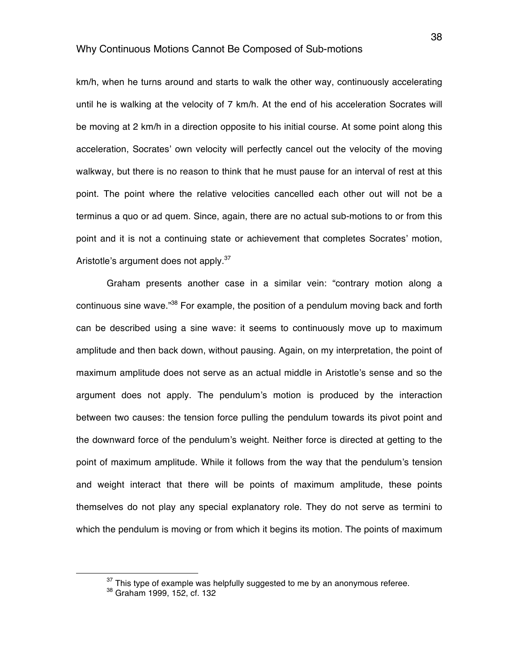km/h, when he turns around and starts to walk the other way, continuously accelerating until he is walking at the velocity of 7 km/h. At the end of his acceleration Socrates will be moving at 2 km/h in a direction opposite to his initial course. At some point along this acceleration, Socrates' own velocity will perfectly cancel out the velocity of the moving walkway, but there is no reason to think that he must pause for an interval of rest at this point. The point where the relative velocities cancelled each other out will not be a terminus a quo or ad quem. Since, again, there are no actual sub-motions to or from this point and it is not a continuing state or achievement that completes Socrates' motion, Aristotle's argument does not apply.<sup>37</sup>

Graham presents another case in a similar vein: "contrary motion along a continuous sine wave.<sup>38</sup> For example, the position of a pendulum moving back and forth can be described using a sine wave: it seems to continuously move up to maximum amplitude and then back down, without pausing. Again, on my interpretation, the point of maximum amplitude does not serve as an actual middle in Aristotle's sense and so the argument does not apply. The pendulum's motion is produced by the interaction between two causes: the tension force pulling the pendulum towards its pivot point and the downward force of the pendulum's weight. Neither force is directed at getting to the point of maximum amplitude. While it follows from the way that the pendulum's tension and weight interact that there will be points of maximum amplitude, these points themselves do not play any special explanatory role. They do not serve as termini to which the pendulum is moving or from which it begins its motion. The points of maximum

 $37$  This type of example was helpfully suggested to me by an anonymous referee.

<sup>38</sup> Graham 1999, 152, cf. 132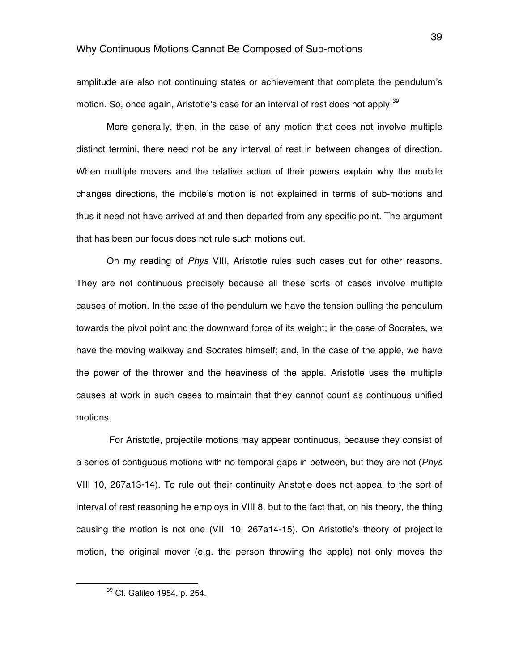amplitude are also not continuing states or achievement that complete the pendulum's motion. So, once again, Aristotle's case for an interval of rest does not apply.<sup>39</sup>

More generally, then, in the case of any motion that does not involve multiple distinct termini, there need not be any interval of rest in between changes of direction. When multiple movers and the relative action of their powers explain why the mobile changes directions, the mobile's motion is not explained in terms of sub-motions and thus it need not have arrived at and then departed from any specific point. The argument that has been our focus does not rule such motions out.

On my reading of *Phys* VIII, Aristotle rules such cases out for other reasons. They are not continuous precisely because all these sorts of cases involve multiple causes of motion. In the case of the pendulum we have the tension pulling the pendulum towards the pivot point and the downward force of its weight; in the case of Socrates, we have the moving walkway and Socrates himself; and, in the case of the apple, we have the power of the thrower and the heaviness of the apple. Aristotle uses the multiple causes at work in such cases to maintain that they cannot count as continuous unified motions.

For Aristotle, projectile motions may appear continuous, because they consist of a series of contiguous motions with no temporal gaps in between, but they are not (*Phys* VIII 10, 267a13-14). To rule out their continuity Aristotle does not appeal to the sort of interval of rest reasoning he employs in VIII 8, but to the fact that, on his theory, the thing causing the motion is not one (VIII 10, 267a14-15). On Aristotle's theory of projectile motion, the original mover (e.g. the person throwing the apple) not only moves the

<sup>39</sup> Cf. Galileo 1954, p. 254.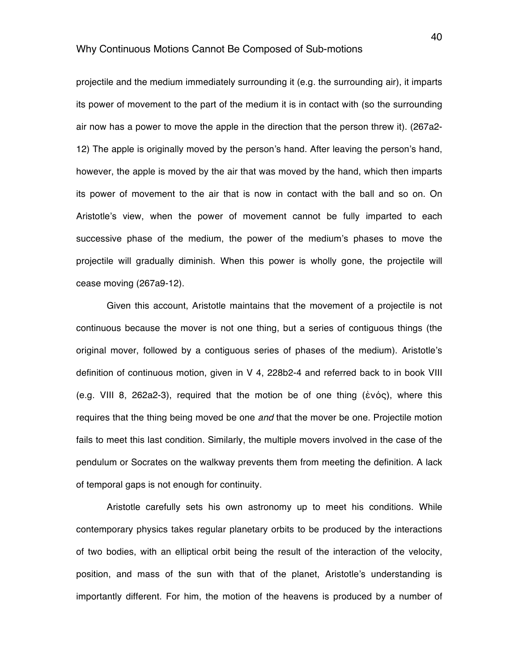projectile and the medium immediately surrounding it (e.g. the surrounding air), it imparts its power of movement to the part of the medium it is in contact with (so the surrounding air now has a power to move the apple in the direction that the person threw it). (267a2- 12) The apple is originally moved by the person's hand. After leaving the person's hand, however, the apple is moved by the air that was moved by the hand, which then imparts its power of movement to the air that is now in contact with the ball and so on. On Aristotle's view, when the power of movement cannot be fully imparted to each successive phase of the medium, the power of the medium's phases to move the projectile will gradually diminish. When this power is wholly gone, the projectile will cease moving (267a9-12).

Given this account, Aristotle maintains that the movement of a projectile is not continuous because the mover is not one thing, but a series of contiguous things (the original mover, followed by a contiguous series of phases of the medium). Aristotle's definition of continuous motion, given in V 4, 228b2-4 and referred back to in book VIII (e.g. VIII 8, 262a2-3), required that the motion be of one thing (ἑνός), where this requires that the thing being moved be one *and* that the mover be one. Projectile motion fails to meet this last condition. Similarly, the multiple movers involved in the case of the pendulum or Socrates on the walkway prevents them from meeting the definition. A lack of temporal gaps is not enough for continuity.

Aristotle carefully sets his own astronomy up to meet his conditions. While contemporary physics takes regular planetary orbits to be produced by the interactions of two bodies, with an elliptical orbit being the result of the interaction of the velocity, position, and mass of the sun with that of the planet, Aristotle's understanding is importantly different. For him, the motion of the heavens is produced by a number of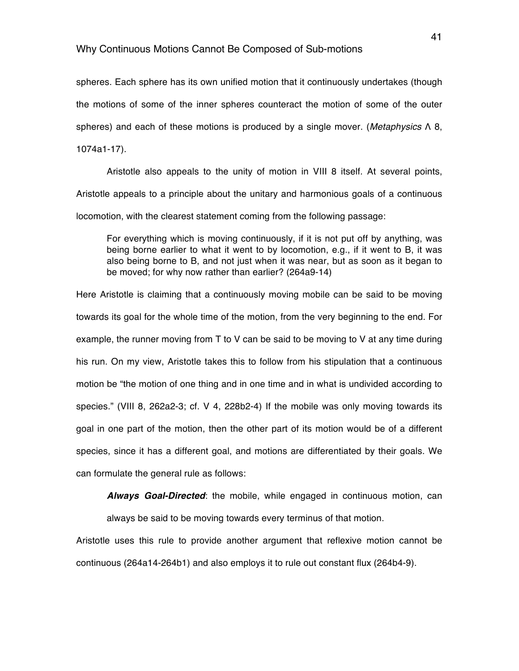spheres. Each sphere has its own unified motion that it continuously undertakes (though the motions of some of the inner spheres counteract the motion of some of the outer spheres) and each of these motions is produced by a single mover. (*Metaphysics* Λ 8, 1074a1-17).

Aristotle also appeals to the unity of motion in VIII 8 itself. At several points, Aristotle appeals to a principle about the unitary and harmonious goals of a continuous locomotion, with the clearest statement coming from the following passage:

For everything which is moving continuously, if it is not put off by anything, was being borne earlier to what it went to by locomotion, e.g., if it went to B, it was also being borne to B, and not just when it was near, but as soon as it began to be moved; for why now rather than earlier? (264a9-14)

Here Aristotle is claiming that a continuously moving mobile can be said to be moving towards its goal for the whole time of the motion, from the very beginning to the end. For example, the runner moving from T to V can be said to be moving to V at any time during his run. On my view, Aristotle takes this to follow from his stipulation that a continuous motion be "the motion of one thing and in one time and in what is undivided according to species." (VIII 8, 262a2-3; cf. V 4, 228b2-4) If the mobile was only moving towards its goal in one part of the motion, then the other part of its motion would be of a different species, since it has a different goal, and motions are differentiated by their goals. We can formulate the general rule as follows:

*Always Goal-Directed*: the mobile, while engaged in continuous motion, can

always be said to be moving towards every terminus of that motion.

Aristotle uses this rule to provide another argument that reflexive motion cannot be continuous (264a14-264b1) and also employs it to rule out constant flux (264b4-9).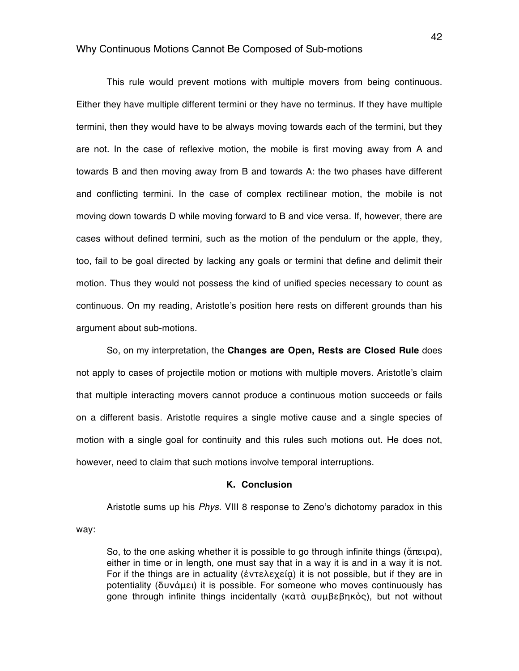This rule would prevent motions with multiple movers from being continuous. Either they have multiple different termini or they have no terminus. If they have multiple termini, then they would have to be always moving towards each of the termini, but they are not. In the case of reflexive motion, the mobile is first moving away from A and towards B and then moving away from B and towards A: the two phases have different and conflicting termini. In the case of complex rectilinear motion, the mobile is not moving down towards D while moving forward to B and vice versa. If, however, there are cases without defined termini, such as the motion of the pendulum or the apple, they, too, fail to be goal directed by lacking any goals or termini that define and delimit their motion. Thus they would not possess the kind of unified species necessary to count as continuous. On my reading, Aristotle's position here rests on different grounds than his argument about sub-motions.

So, on my interpretation, the **Changes are Open, Rests are Closed Rule** does not apply to cases of projectile motion or motions with multiple movers. Aristotle's claim that multiple interacting movers cannot produce a continuous motion succeeds or fails on a different basis. Aristotle requires a single motive cause and a single species of motion with a single goal for continuity and this rules such motions out. He does not, however, need to claim that such motions involve temporal interruptions.

## **K. Conclusion**

Aristotle sums up his *Phys.* VIII 8 response to Zeno's dichotomy paradox in this way:

So, to the one asking whether it is possible to go through infinite things (ἄπειρα), either in time or in length, one must say that in a way it is and in a way it is not. For if the things are in actuality (ἐντελεχείᾳ) it is not possible, but if they are in potentiality (δυνάμει) it is possible. For someone who moves continuously has gone through infinite things incidentally (κατὰ συμβεβηκὸς), but not without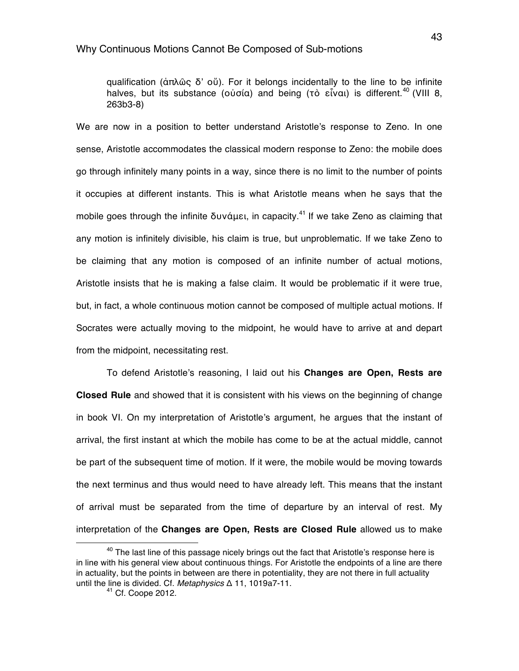qualification (ἁπλῶς δ' οὔ). For it belongs incidentally to the line to be infinite halves, but its substance (οὐσία) and being (τὸ εἶναι) is different.<sup>40</sup> (VIII 8, 263b3-8)

We are now in a position to better understand Aristotle's response to Zeno. In one sense, Aristotle accommodates the classical modern response to Zeno: the mobile does go through infinitely many points in a way, since there is no limit to the number of points it occupies at different instants. This is what Aristotle means when he says that the mobile goes through the infinite δυνάμει, in capacity.<sup>41</sup> If we take Zeno as claiming that any motion is infinitely divisible, his claim is true, but unproblematic. If we take Zeno to be claiming that any motion is composed of an infinite number of actual motions, Aristotle insists that he is making a false claim. It would be problematic if it were true, but, in fact, a whole continuous motion cannot be composed of multiple actual motions. If Socrates were actually moving to the midpoint, he would have to arrive at and depart from the midpoint, necessitating rest.

To defend Aristotle's reasoning, I laid out his **Changes are Open, Rests are Closed Rule** and showed that it is consistent with his views on the beginning of change in book VI. On my interpretation of Aristotle's argument, he argues that the instant of arrival, the first instant at which the mobile has come to be at the actual middle, cannot be part of the subsequent time of motion. If it were, the mobile would be moving towards the next terminus and thus would need to have already left. This means that the instant of arrival must be separated from the time of departure by an interval of rest. My interpretation of the **Changes are Open, Rests are Closed Rule** allowed us to make

 $40$  The last line of this passage nicely brings out the fact that Aristotle's response here is in line with his general view about continuous things. For Aristotle the endpoints of a line are there in actuality, but the points in between are there in potentiality, they are not there in full actuality until the line is divided. Cf. *Metaphysics* Δ 11, 1019a7-11.

 $41$  Cf. Coope 2012.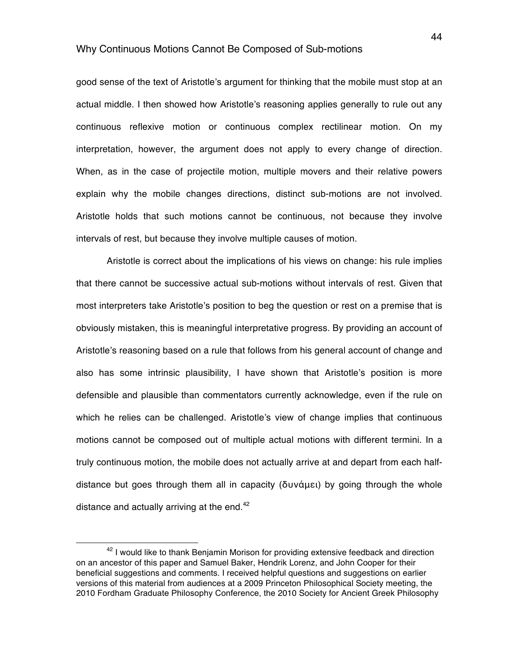good sense of the text of Aristotle's argument for thinking that the mobile must stop at an actual middle. I then showed how Aristotle's reasoning applies generally to rule out any continuous reflexive motion or continuous complex rectilinear motion. On my interpretation, however, the argument does not apply to every change of direction. When, as in the case of projectile motion, multiple movers and their relative powers explain why the mobile changes directions, distinct sub-motions are not involved. Aristotle holds that such motions cannot be continuous, not because they involve intervals of rest, but because they involve multiple causes of motion.

Aristotle is correct about the implications of his views on change: his rule implies that there cannot be successive actual sub-motions without intervals of rest. Given that most interpreters take Aristotle's position to beg the question or rest on a premise that is obviously mistaken, this is meaningful interpretative progress. By providing an account of Aristotle's reasoning based on a rule that follows from his general account of change and also has some intrinsic plausibility, I have shown that Aristotle's position is more defensible and plausible than commentators currently acknowledge, even if the rule on which he relies can be challenged. Aristotle's view of change implies that continuous motions cannot be composed out of multiple actual motions with different termini. In a truly continuous motion, the mobile does not actually arrive at and depart from each halfdistance but goes through them all in capacity (δυνάμει) by going through the whole distance and actually arriving at the end. $42$ 

<sup>&</sup>lt;sup>42</sup> I would like to thank Benjamin Morison for providing extensive feedback and direction on an ancestor of this paper and Samuel Baker, Hendrik Lorenz, and John Cooper for their beneficial suggestions and comments. I received helpful questions and suggestions on earlier versions of this material from audiences at a 2009 Princeton Philosophical Society meeting, the 2010 Fordham Graduate Philosophy Conference, the 2010 Society for Ancient Greek Philosophy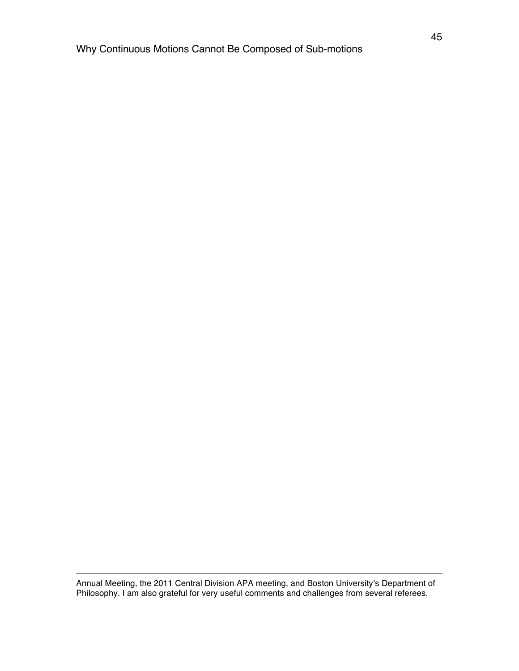Annual Meeting, the 2011 Central Division APA meeting, and Boston University's Department of Philosophy. I am also grateful for very useful comments and challenges from several referees.

 $\overline{a}$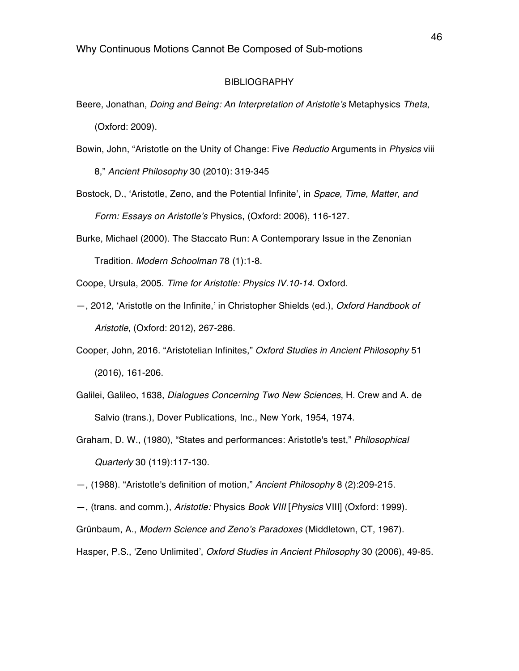#### BIBLIOGRAPHY

- Beere, Jonathan, *Doing and Being: An Interpretation of Aristotle's* Metaphysics *Theta*, (Oxford: 2009).
- Bowin, John, "Aristotle on the Unity of Change: Five *Reductio* Arguments in *Physics* viii 8," *Ancient Philosophy* 30 (2010): 319-345
- Bostock, D., 'Aristotle, Zeno, and the Potential Infinite', in *Space, Time, Matter, and Form: Essays on Aristotle's* Physics, (Oxford: 2006), 116-127.
- Burke, Michael (2000). The Staccato Run: A Contemporary Issue in the Zenonian Tradition. *Modern Schoolman* 78 (1):1-8.
- Coope, Ursula, 2005. *Time for Aristotle: Physics IV.10-14*. Oxford.
- —, 2012, 'Aristotle on the Infinite,' in Christopher Shields (ed.), *Oxford Handbook of Aristotle*, (Oxford: 2012), 267-286.
- Cooper, John, 2016. "Aristotelian Infinites," *Oxford Studies in Ancient Philosophy* 51 (2016), 161-206.
- Galilei, Galileo, 1638, *Dialogues Concerning Two New Sciences*, H. Crew and A. de Salvio (trans.), Dover Publications, Inc., New York, 1954, 1974.
- Graham, D. W., (1980), "States and performances: Aristotle's test," *Philosophical Quarterly* 30 (119):117-130.
- —, (1988). "Aristotle's definition of motion," *Ancient Philosophy* 8 (2):209-215.
- —, (trans. and comm.), *Aristotle:* Physics *Book VIII* [*Physics* VIII] (Oxford: 1999).
- Grünbaum, A., *Modern Science and Zeno's Paradoxes* (Middletown, CT, 1967).
- Hasper, P.S., 'Zeno Unlimited', *Oxford Studies in Ancient Philosophy* 30 (2006), 49-85.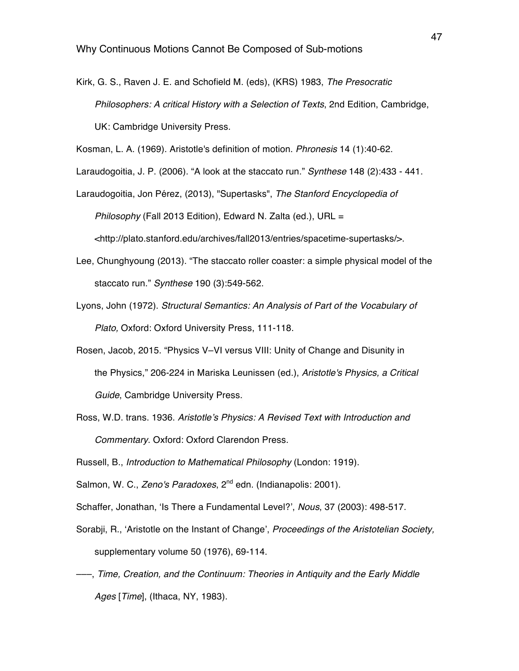Kirk, G. S., Raven J. E. and Schofield M. (eds), (KRS) 1983, *The Presocratic Philosophers: A critical History with a Selection of Texts*, 2nd Edition, Cambridge, UK: Cambridge University Press.

Kosman, L. A. (1969). Aristotle's definition of motion. *Phronesis* 14 (1):40-62.

Laraudogoitia, J. P. (2006). "A look at the staccato run." *Synthese* 148 (2):433 - 441.

- Laraudogoitia, Jon Pérez, (2013), "Supertasks", *The Stanford Encyclopedia of Philosophy* (Fall 2013 Edition), Edward N. Zalta (ed.), URL = <http://plato.stanford.edu/archives/fall2013/entries/spacetime-supertasks/>.
- Lee, Chunghyoung (2013). "The staccato roller coaster: a simple physical model of the staccato run." *Synthese* 190 (3):549-562.
- Lyons, John (1972). *Structural Semantics: An Analysis of Part of the Vocabulary of Plato,* Oxford: Oxford University Press, 111-118.
- Rosen, Jacob, 2015. "Physics V–VI versus VIII: Unity of Change and Disunity in the Physics," 206-224 in Mariska Leunissen (ed.), *Aristotle's Physics, a Critical Guide*, Cambridge University Press.
- Ross, W.D. trans. 1936. *Aristotle's Physics: A Revised Text with Introduction and Commentary*. Oxford: Oxford Clarendon Press.

Russell, B., *Introduction to Mathematical Philosophy* (London: 1919).

Salmon, W. C., *Zeno's Paradoxes*, 2<sup>nd</sup> edn. (Indianapolis: 2001).

Schaffer, Jonathan, 'Is There a Fundamental Level?', *Nous*, 37 (2003): 498-517.

- Sorabji, R., 'Aristotle on the Instant of Change', *Proceedings of the Aristotelian Society,* supplementary volume 50 (1976), 69-114.
- –––, *Time, Creation, and the Continuum: Theories in Antiquity and the Early Middle Ages* [*Time*], (Ithaca, NY, 1983).